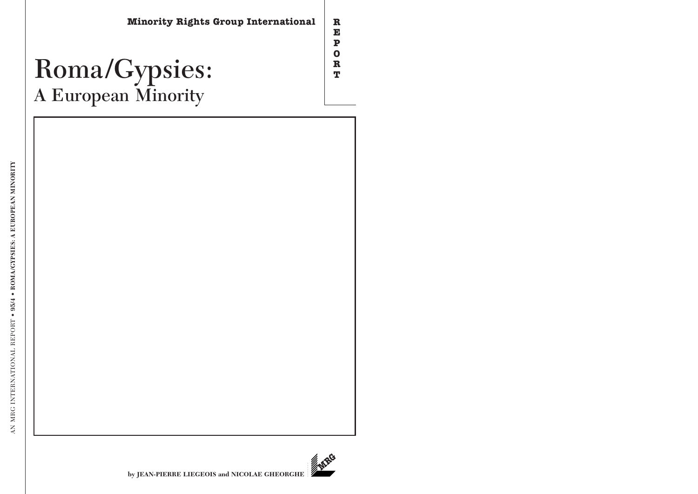## **Roma/Gypsies: A European Minority**

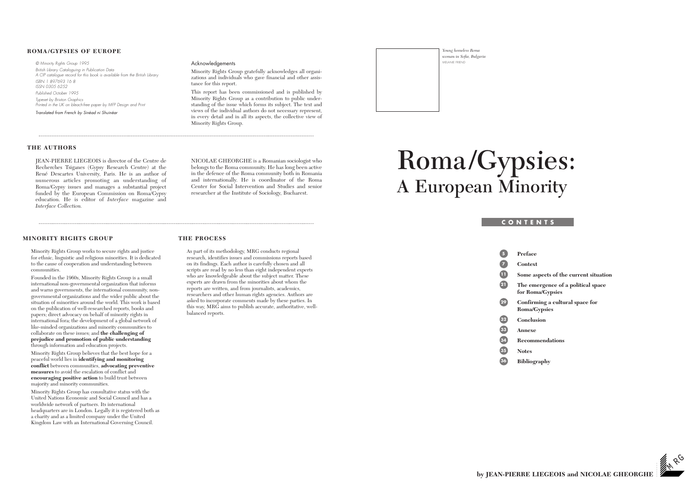#### *Young homeless Roma woman in Sofia, Bulgaria* MELANIE FRIEND

## **Roma/Gypsies: A European Minority**

#### **MINORITY RIGHTS GROUP**

Minority Rights Group works to secure rights and justice for ethnic, linguistic and religious minorities. It is dedicated to the cause of cooperation and understanding between communities.

Founded in the 1960s, Minority Rights Group is a small international non-governmental organization that informs and warns governments, the international community, nongovernmental organizations and the wider public about the situation of minorities around the world. This work is based on the publication of well-researched reports, books and papers; direct advocacy on behalf of minority rights in international fora; the development of a global network of like-minded organizations and minority communities to collaborate on these issues; and **the challenging of prejudice and promotion of public understanding** through information and education projects.

Minority Rights Group believes that the best hope for a peaceful world lies in **identifying and monitoring conflict** between communities, **advocating preventive measures** to avoid the escalation of conflict and **encouraging positive action** to build trust between majority and minority communities.

Minority Rights Group has consultative status with the United Nations Economic and Social Council and has a worldwide network of partners. Its international headquarters are in London. Legally it is registered both as a charity and as a limited company under the United Kingdom Law with an International Governing Council.

#### **THE PROCESS**

As part of its methodology, MRG conducts regional research, identifies issues and commissions reports based on its findings. Each author is carefully chosen and all scripts are read by no less than eight independent experts who are knowledgeable about the subject matter. These experts are drawn from the minorities about whom the reports are written, and from journalists, academics, researchers and other human rights agencies. Authors are asked to incorporate comments made by these parties. In this way, MRG aims to publish accurate, authoritative, wellbalanced reports.

#### **ROMA/GYPSIES OF EUROPE**

© Minority Rights Group 1995 British Library Cataloguing in Publication Data A CIP catalogue record for this book is available from the British Library ISBN 1 897693 16 8 ISSN 0305 6252 Published October 1995 Typeset by Brixton Graphics Printed in the UK on bleach-free paper by MFP Design and Print

Translated from French by Sinéad ni Shuinéar

#### **Acknowledgements**

Minority Rights Group gratefully acknowledges all organizations and individuals who gave financial and other assistance for this report.

This report has been commissioned and is published by Minority Rights Group as a contribution to public understanding of the issue which forms its subject. The text and views of the individual authors do not necessary represent, in every detail and in all its aspects, the collective view of Minority Rights Group.

#### **THE AUTHORS**

JEAN-PIERRE LIEGEOIS is director of the Centre de Recherches Tsiganes (Gypsy Research Centre) at the René Descartes University, Paris. He is an author of numerous articles promoting an understanding of Roma/Gypsy issues and manages a substantial project funded by the European Commission on Roma/Gypsy education. He is editor of *Interface* magazine and *Interface Collection.*

NICOLAE GHEORGHE is a Romanian sociologist who belongs to the Roma community. He has long been active in the defence of the Roma community both in Romania and internationally. He is coordinator of the Roma Center for Social Intervention and Studies and senior researcher at the Institute of Sociology, Bucharest.



### **CONTENTS**

- **Preface**
- **Context**
	- **Some aspects of the current situation**
	- **The emergence of a political space for Roma/Gypsies**
	- **Confirming a cultural space for Roma/Gypsies**
	- **Conclusion**
- **Annexe**
- **Recommendations**
	-
- **Bibliography**



**Notes 35**

| $\mathbf \Omega$ | Son        |
|------------------|------------|
| $\Omega$         | The<br>for |
| (29)             | Cor<br>Ror |
| 32               | Cor        |
| 33               | Anr        |

**34**

**36**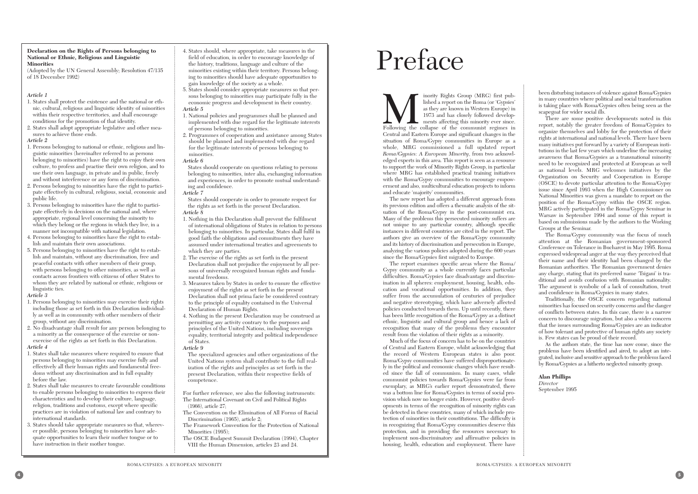#### **Declaration on the Rights of Persons belonging to National or Ethnic, Religious and Linguistic Minorities**

- 1. States shall protect the existence and the national or ethnic, cultural, religious and linguistic identity of minorities within their respective territories, and shall encourage conditions for the promotion of that identity.
- 2. States shall adopt appropriate legislative and other measures to achieve those ends.

(Adopted by the UN General Assembly; Resolution 47/135 of 18 December 1992)

#### *Article 1*

#### *Article 2*

- 1. Persons belonging to national or ethnic, religious and linguistic minorities (hereinafter referred to as persons belonging to minorities) have the right to enjoy their own culture, to profess and practise their own religion, and to use their own language, in private and in public, freely and without interference or any form of discrimination.
- 2. Persons belonging to minorities have the right to participate effectively in cultural, religious, social, economic and public life.
- 3. Persons belonging to minorities have the right to participate effectively in decisions on the national and, where appropriate, regional level concerning the minority to which they belong or the regions in which they live, in a manner not incompatible with national legislation.
- 4. Persons belonging to minorities have the right to establish and maintain their own associations.
- 5. Persons belonging to minorities have the right to establish and maintain, without any discrimination, free and peaceful contacts with other members of their group, with persons belonging to other minorities, as well as contacts across frontiers with citizens of other States to whom they are related by national or ethnic, religious or linguistic ties.

### *Article 3*

- 1. Persons belonging to minorities may exercise their rights including those as set forth in this Declaration individually as well as in community with other members of their group, without any discrimination.
- 2. No disadvantage shall result for any person belonging to a minority as the consequence of the exercise or nonexercise of the rights as set forth in this Declaration. *Article 4*
- 1. States shall take measures where required to ensure that persons belonging to minorities may exercise fully and effectively all their human rights and fundamental freedoms without any discrimination and in full equality before the law.
- 2. States shall take measures to create favourable conditions to enable persons belonging to minorities to express their characteristics and to develop their culture, language, religion, traditions and customs, except where specific practices are in violation of national law and contrary to international standards.
- 3. States should take appropriate measures so that, wherever possible, persons belonging to minorities have adequate opportunities to learn their mother tongue or to have instruction in their mother tongue.

mority Rights Group (MRG) first pub-<br>
lished a report on the Roma (or 'Gypsies'<br>
as they are known in Western Europe) in<br>
1973 and has closely followed develop-<br>
ments affecting this minority ever since.<br>
Following the col lished a report on the Roma (or 'Gypsies' as they are known in Western Europe) in 1973 and has closely followed developments affecting this minority ever since. Central and Eastern Europe and significant changes in the situation of Roma/Gypsy communities in Europe as a whole, MRG commissioned a full updated report *Roma/Gypsies: A European Minority*, from two acknowledged experts in this area. This report is seen as a resource to support the work of Minority Rights Group, in particular where MRG has established practical training initiatives with the Roma/Gypsy communities to encourage empowerment and also, multicultural education projects to inform and educate 'majority' communities.

- 4. States should, where appropriate, take measures in the field of education, in order to encourage knowledge of the history, traditions, language and culture of the minorities existing within their territory. Persons belonging to minorities should have adequate opportunities to gain knowledge of the society as a whole.
- 5. States should consider appropriate measures so that persons belonging to minorities may participate fully in the economic progress and development in their country. *Article 5*
- 1. National policies and programmes shall be planned and implemented with due regard for the legitimate interests of persons belonging to minorities.
- 2. Programmes of cooperation and assistance among States should be planned and implemented with due regard for the legitimate interests of persons belonging to minorities.
- *Article 6*
- States should cooperate on questions relating to persons belonging to minorities, inter alia, exchanging information and experiences, in order to promote mutual understanding and confidence.
- *Article 7*
- States should cooperate in order to promote respect for the rights as set forth in the present Declaration. *Article 8*
- 1. Nothing in this Declaration shall prevent the fulfilment of international obligations of States in relation to persons belonging to minorities. In particular, States shall fulfil in good faith the obligations and commitments they have assumed under international treaties and agreements to which they are parties.
- 2. The exercise of the rights as set forth in the present Declaration shall not prejudice the enjoyment by all persons of universally recognized human rights and fundamental freedoms.
- 3. Measures taken by States in order to ensure the effective enjoyment of the rights as set forth in the present Declaration shall not prima facie be considered contrary to the principle of equality contained in the Universal Declaration of Human Rights.
- 4. Nothing in the present Declaration may be construed as permitting any activity contrary to the purposes and principles of the United Nations, including sovereign equality, territorial integrity and political independence of States.
- *Article 9*
- The specialized agencies and other organizations of the United Nations system shall contribute to the full realization of the rights and principles as set forth in the present Declaration, within their respective fields of competence.

For further reference, see also the following instruments: The International Covenant on Civil and Political Rights (1966), article 27;

- The Convention on the Elimination of All Forms of Racial Discrimination (1965), article 2;
- The Framework Convention for the Protection of National Minorities (1995);
- The OSCE Budapest Summit Declaration (1994), Chapter VIII the Human Dimension, articles 23 and 24.

The new report has adopted a different approach from its previous edition and offers a thematic analysis of the situation of the Roma/Gypsy in the post-communist era. Many of the problems this persecuted minority suffers are not unique to any particular country, although specific instances in different countries are cited in the report. The authors give an overview of the Roma/Gypy community and its history of discrimination and persecution in Europe, analyzing the various policies adopted during the 600 years since the Roma/Gypsies first migrated to Europe.

The report examines specific areas where the Roma/ Gypsy community as a whole currently faces particular difficulties. Roma/Gypsies face disadvantage and discrimination in all spheres: employment, housing, health, education and vocational opportunities. In addition, they suffer from the accumulation of centuries of prejudice and negative stereotyping, which have adversely affected policies conducted towards them. Up until recently, there has been little recognition of the Roma/Gypsy as a distinct ethnic, linguistic and cultural group and hence a lack of recognition that many of the problems they encounter result from the violation of their rights as a minority.

Much of the focus of concern has to be on the countries of Central and Eastern Europe, whilst acknowledging that the record of Western European states is also poor. Roma/Gypsy communities have suffered disproportionately in the political and economic changes which have resulted since the fall of communism. In many cases, while communist policies towards Roma/Gypsies were far from exemplary, as MRG's earlier report demonstrated, there was a bottom line for Roma/Gypsies in terms of social provision which now no longer exists. However, positive developments in terms of the recognition of minority rights can be detected in these countries, many of which include protection of minorities in their constitutions. The difficulty is in recognizing that Roma/Gypsy communities deserve this protection, and in providing the resources necessary to implement non-discriminatory and affirmative policies in housing, health, education and employment. There have

been disturbing instances of violence against Roma/Gypsies in many countries where political and social transformation is taking place with Roma/Gypsies often being seen as the scapegoat for wider social ills.

There are some positive developments noted in this report, notably the greater freedom of Roma/Gypsies to organize themselves and lobby for the protection of their rights at international and national levels. There have been many initiatives put forward by a variety of European institutions in the last few years which underline the increasing awareness that Roma/Gypsies as a transnational minority need to be recognized and protected at European as well as national levels. MRG welcomes initiatives by the Organization on Security and Cooperation in Europe (OSCE) to devote particular attention to the Roma/Gypsy issue since April 1993 when the High Commissioner on National Minorities was given a mandate to report on the position of the Roma/Gypsy within the OSCE region. MRG actively participated in the Roma/Gypsy Seminar in Warsaw in September 1994 and some of this report is based on submissions made by the authors to the Working Groups at the Seminar.

The Roma/Gypsy community was the focus of much attention at the Romanian government-sponsored Conference on Tolerance in Bucharest in May 1995. Roma expressed widespread anger at the way they perceived that their name and their identity had been changed by the Romanian authorities. The Romanian government denies any charge, stating that its preferred name 'Tsigani' is traditional and avoids confusion with Romanian nationality. The argument is symbolic of a lack of consultation, trust and confidence in Roma/Gypsies in many states.

Traditionally, the OSCE concern regarding national minorities has focused on security concerns and the danger of conflicts between states. In this case, there is a narrow concern to discourage migration, but also a wider concern that the issues surrounding Roma/Gypsies are an indicator of how tolerant and protective of human rights any society is. Few states can be proud of their record.

As the authors state, the time has now come, since the problems have been identified and aired, to adopt an integrated, inclusive and sensitive approach to the problems faced by Roma/Gypsies as a hitherto neglected minority group.

**Alan Phillips** *Director* September 1995

**5**

# Preface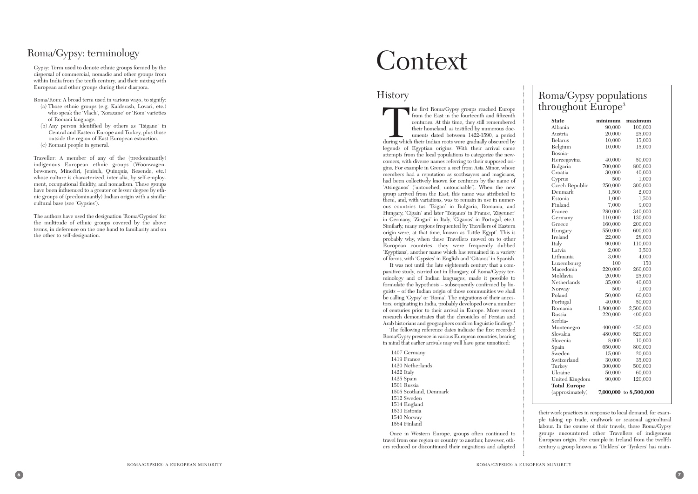### History

The first Roma/Gypsy groups reached Europe<br>
from the East in the fourteenth and fifteenth<br>
centuries. At this time, they still remembered<br>
their homeland, as testified by numerous doc-<br>
unents dated between 1422-1590, a pe from the East in the fourteenth and fifteenth centuries. At this time, they still remembered their homeland, as testified by numerous documents dated between 1422-1590, a period legends of Egyptian origins. With their arrival came attempts from the local populations to categorize the newcomers, with diverse names referring to their supposed origins. For example in Greece a sect from Asia Minor, whose members had a reputation as soothsayers and magicians, had been collectively known for centuries by the name of 'Atsinganos' ('untouched, untouchable'). When the new group arrived from the East, this name was attributed to them, and, with variations, was to remain in use in numerous countries (as 'Tsigan' in Bulgaria, Romania, and Hungary, 'Cigain' and later 'Tsiganes' in France, 'Zigeuner' in Germany, 'Zingari' in Italy, 'Ciganos' in Portugal, etc.). Similarly, many regions frequented by Travellers of Eastern origin were, at that time, known as 'Little Egypt'. This is probably why, when these Travellers moved on to other European countries, they were frequently dubbed 'Egyptians', another name which has remained in a variety of forms, with 'Gypsies' in English and 'Gitanos' in Spanish.

It was not until the late eighteenth century that a comparative study, carried out in Hungary, of Roma/Gypsy terminology and of Indian languages, made it possible to formulate the hypothesis – subsequently confirmed by linguists – of the Indian origin of those communities we shall be calling 'Gypsy' or 'Roma'. The migrations of their ancestors, originating in India, probably developed over a number of centuries prior to their arrival in Europe. More recent research demonstrates that the chronicles of Persian and Arab historians and geographers confirm linguistic findings. 1

The following reference dates indicate the first recorded Roma/Gypsy presence in various European countries, bearing in mind that earlier arrivals may well have gone unnoticed:

1407 Germany 1419 France 1420 Netherlands 1422 Italy 1425 Spain 1501 Russia 1505 Scotland, Denmark 1512 Sweden 1514 England 1533 Estonia 1540 Norway 1584 Finland

Once in Western Europe, groups often continued to travel from one region or country to another, however, others reduced or discontinued their migrations and adapted their work practices in response to local demand, for example taking up trade, craftwork or seasonal agricultural labour. In the course of their travels, these Roma/Gypsy groups encountered other Travellers of indigenous European origin. For example in Ireland from the twelfth century a group known as 'Tinklers' or 'Tynkers' has main-

## Roma/Gypsy: terminology

Gypsy: Term used to denote ethnic groups formed by the dispersal of commercial, nomadic and other groups from within India from the tenth century, and their mixing with European and other groups during their diaspora.

Roma/Rom: A broad term used in various ways, to signify:

- (a) Those ethnic groups (e.g. Kalderash, Lovari, etc.) who speak the 'Vlach', 'Xoraxane' or 'Rom' varieties of Romani language.
- (b) Any person identified by others as 'Tsigane' in Central and Eastern Europe and Turkey, plus those outside the region of East European extraction.
- (c) Romani people in general.

Traveller: A member of any of the (predominantly) indigenous European ethnic groups (Woonwagenbewoners, Mincéiri, Jenisch, Quinquis, Resende, etc.) whose culture is characterized, inter alia, by self-employment, occupational fluidity, and nomadism. These groups have been influenced to a greater or lesser degree by ethnic groups of (predominantly) Indian origin with a similar cultural base (see 'Gypsies').

The authors have used the designation 'Roma/Gypsies' for the multitude of ethnic groups covered by the above terms, in deference on the one hand to familiarity and on the other to self-designation.

## **Context**

## Roma/Gypsy populations throughout Europe 3

| <b>State</b>        | minimum   | maximum                |
|---------------------|-----------|------------------------|
| Albania             | 90,000    | 100,000                |
| Austria             | 20,000    | 25,000                 |
| Belarus             | 10,000    | 15,000                 |
| Belgium             | 10,000    | 15,000                 |
| Bosnia-             |           |                        |
| Herzegovina         | 40,000    | 50,000                 |
| Bulgaria            | 700,000   | 800,000                |
| Croatia             | 30,000    | 40,000                 |
| Cyprus              | 500       | 1,000                  |
| Czech Republic      | 250,000   | 300,000                |
| Denmark             | 1,500     | 2,000                  |
| Estonia             | 1,000     | 1,500                  |
| Finland             | 7,000     | 9,000                  |
| France              | 280,000   | 340,000                |
| Germany             | 110,000   | 130,000                |
| Greece              | 160,000   | 200,000                |
| Hungary             | 550,000   | 600,000                |
| Ireland             | 22,000    | 28,000                 |
| Italy               | 90,000    | 110,000                |
| Latvia              | 2,000     | 3,500                  |
| Lithuania           | 3,000     | 4,000                  |
| Luxembourg          | 100       | 150                    |
| Macedonia           | 220,000   | 260,000                |
| Moldavia            | 20,000    | 25,000                 |
| Netherlands         | 35,000    | 40,000                 |
| Norway              | 500       | 1,000                  |
| Poland              | 50,000    | 60,000                 |
| Portugal            | 40,000    | 50,000                 |
| Romania             | 1,800,000 | 2,500,000              |
| Russia              | 220,000   | 400,000                |
| Serbia-             |           |                        |
| Montenegro          | 400,000   | 450,000                |
| Slovakia            | 480,000   | 520,000                |
| Slovenia            | 8,000     | 10,000                 |
| Spain               | 650,000   | 800,000                |
| Sweden              | 15,000    | 20,000                 |
| Switzerland         | 30,000    | 35,000                 |
| Turkey              | 300,000   | 500,000                |
| Ukraine             | 50,000    | 60,000                 |
| United Kingdom      | 90,000    | 120,000                |
| <b>Total Europe</b> |           |                        |
| (approximately)     |           | 7,000,000 to 8,500,000 |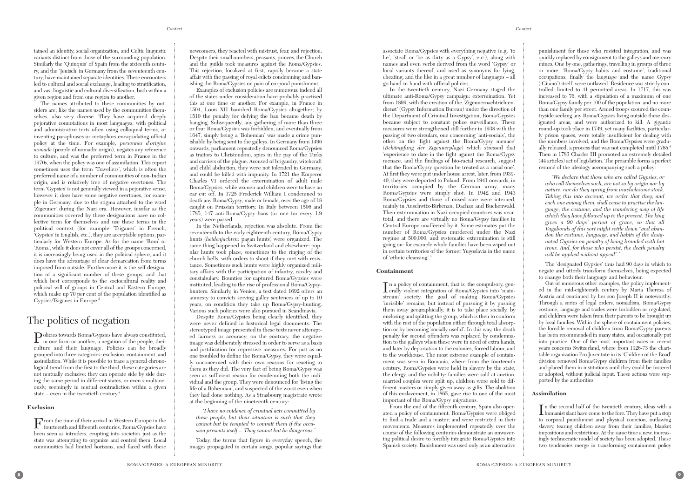associate Roma/Gypsies with everything negative (e.g. 'to lie', 'steal' or 'be as dirty as a Gypsy', etc.), along with names and even verbs derived from the word 'Gypsy' or local variants thereof, and used as synonyms for lying, cheating, and the like in a great number of languages – all go hand-in-hand with official policies.

In the twentieth century, Nazi Germany staged the ultimate anti-Roma/Gypsy campaign: extermination. Yet from 1899, with the creation of the 'Zigeunernachtrichtendienst' (Gypsy Information Bureau) under the direction of the Department of Criminal Investigation, Roma/Gypsies became subject to constant police surveillance. These measures were strengthened still further in 1938 with the passing of two circulars, one concerning 'anti-socials', the other on the 'fight against the Roma/Gypsy menace' (*Bekämpfung der Zigeunerplage*) which stressed that 'experience to date in the fight against the Roma/Gypsy menace, and the findings of bio-racial research, suggest that the Roma/Gypsy question be treated as a racial one'. At first they were put under house arrest, later, from 1939- 40, they were deported to Poland. From 1941 onwards, in territories occupied by the German army, many Roma/Gypsies were simply shot. In 1942 and 1943 Roma/Gypsies and those of mixed race were interned, mainly in Auschwitz-Birkenau, Dachau and Buchenwald. Their extermination in Nazi-occupied countries was neartotal, and there are virtually no Roma/Gypsy families in Central Europe unaffected by it. Some estimates put the number of Roma/Gypsies murdered under the Nazi regime at 500,000, and systematic extermination is still going on: for example whole families have been wiped out in certain territories of the former Yugoslavia in the name of 'ethnic cleansing'.5

In a policy of containment, that is, the compulsory, generally violent integration of Roma/Gypsies into 'mainstream' society, the goal of making Roma/Gypsies 'invisible' remains, but instead of pursuing it by pushing them away geographically, it is to take place socially, by enclosing and splitting the group, which is then to conform with the rest of the population either through total absorption or by becoming 'socially useful'. In this way, the death penalty for second offenders was replaced by condemnation to the galleys when these were in need of extra hands, and later by deportation to the colonies, forced labour, and to the workhouse. The most extreme example of containment was seen in Romania, where from the fourteenth century, Roma/Gypsies were held in slavery by the state, the clergy, and the nobility: families were sold at auction, married couples were split up, children were sold to different masters or simply given away as gifts. The abolition of this enslavement, in 1865, gave rise to one of the most important of the Roma/Gypsy migrations.

#### **Containment**

From the end of the fifteenth century, Spain also operated a policy of containment. Roma/Gypsies were obliged to find a trade and a master; and were restricted in their movements. Measures implemented repeatedly over the course of the following centuries demonstrate an unwavering political desire to forcibly integrate Roma/Gypsies into Spanish society. Banishment was used only as an alternative

In the second half of the twentieth century, ideas with a humanist slant have come to the fore. They have put a stop n the second half of the twentieth century, ideas with a to corporal punishment and physical coercion, outlawing slavery, tearing children away from their families, blanket impositions and restrictions. At the same time a new, increasingly technocratic model of society has been adopted. These two tendencies merge in transforming containment policy

punishment for those who resisted integration, and was quickly replaced by consignment to the galleys and mercury mines. One by one, gatherings, travelling in groups of three or more, 'Roma/Gypsy habits and costume', traditional occupations, finally the language and the name Gypsy ('Gitano') itself, were outlawed. Residence was strictly controlled: limited to 41 permitted areas. In 1717, this was increased to 76, with a stipulation of a maximum of one Roma/Gypsy family per 100 of the population, and no more than one family per street. Armed troops scoured the countryside seeking any Roma/Gypsies living outside these designated areas, and were authorized to kill. A gigantic round-up took place in 1749, yet many facilities, particularly prison spaces, were totally insufficient for dealing with the numbers involved, and the Roma/Gypsies were gradually released, a process that was not completed until 1765.<sup>6</sup> Then in 1783 Charles III promoted an extremely detailed (44 articles) act of legislation. The preamble forms a perfect resumé of the ideology accompanying such a policy:

The names attributed to these communities by outsiders are, like the names used by the communities themselves, also very diverse. They have acquired deeply pejorative connotations in most languages, with political and administrative texts often using colloquial terms, or inventing paraphrases or metaphors encapsulating official policy at the time. For example, *personnes d'origine nomade* (people of nomadic origin), negates any reference to culture, and was the preferred term in France in the 1970s, when the policy was one of assimilation. This report sometimes uses the term 'Travellers', which is often the preferred name of a number of communities of non-Indian origin, and is relatively free of negative overtones. The term 'Gypsies' is not generally viewed in a pejorative sense, however it does have some negative overtones, for example in Germany, due to the stigma attached to the word 'Zigeuner' during the Nazi era. However, insofar as the communities covered by these designations have no collective term for themselves and use these terms in the political context (for example 'Tsiganes' in French, 'Gypsies' in English, etc.), they are acceptable options, particularly for Western Europe. As for the name 'Rom' or 'Roma', while it does not cover all of the groups concerned, it is increasingly being used in the political sphere, and it does have the advantage of clear demarcation from terms imposed from outside. Furthermore it is the self-designation of a significant number of these groups, and that which best corresponds to the sociocultural reality and political will of groups in Central and Eastern Europe, which make up  $\overline{70}$  per cent of the population identified as Gypsies/Tsiganes in Europe.2

**P**olicies towards Roma/Gypsies have always constituted,<br>in one form or another, a negation of the people, their culture and their language. Policies can be broadly grouped into three categories: exclusion, containment, and assimilation. While it is possible to trace a general chronological trend from the first to the third, these categories are not mutually exclusive: they can operate side by side during the same period in different states, or even simultaneously, seemingly in mutual contradiction within a given state – even in the twentieth century.4

*'We declare that those who are called Gypsies, or who call themselves such, are not so by origin nor by nature, nor do they spring from unwholesome stock. Taking this into account, we order that they, and each one among them, shall cease to practise the language, the costume, and the wandering way of life which they have followed up to the present. The king gives a 90 days' period of grace, so that all Vagabonds of this sort might settle down "and abandon the costume, language, and habits of the designated Gypsies on penalty of being branded with hot irons. And, for those who persist, the death penalty will be applied without appeal".'* 

From the time of their arrival in Western Europe in the fourteenth and fifteenth centuries, Roma/Gypsies have been seen as intruders, erupting into societies just as the state was attempting to organize and control them. Local communities had limited horizons, and faced with these

The 'designated Gypsies' thus had 90 days in which to negate and utterly transform themselves, being expected to change both their language and behaviour.

Out of numerous other examples, the policy implemented in the mid-eighteenth century by Maria Theresa of Austria and continued by her son Joseph II is noteworthy. Through a series of legal orders, nomadism, Roma/Gypsy costume, language and trades were forbidden or regulated, and children were taken from their parents to be brought up by local families. Within the sphere of containment policies, the forcible removal of children from Roma/Gypsy parents has been recommended in many states, and occasionally put into practice. One of the most important cases in recent years concerns Switzerland, where from 1926-73 the charitable organization Pro Juventute in its 'Children of the Road' division removed Roma/Gypsy children from their families and placed them in institutions until they could be fostered or adopted, without judicial input. These actions were supported by the authorities.

#### **Assimilation**

tained an identity, social organization, and Celtic linguistic variants distinct from those of the surrounding population. Similarly the 'Quinquis' of Spain from the sixteenth century, and the 'Jenisch' in Germany from the seventeenth century, have maintained separate identities. These encounters led to cultural and social exchange, leading to stratification, and vast linguistic and cultural diversification, both within a given region and from one region to another.

## The politics of negation

#### **Exclusion**

newcomers, they reacted with mistrust, fear, and rejection. Despite their small numbers, peasants, princes, the Church and the guilds took measures against the Roma/Gypsies. This rejection, localized at first, rapidly became a state affair with the passing of royal edicts condemning and banishing the Roma/Gypsies on pain of corporal punishment.

Examples of exclusion policies are numerous: indeed all of the states under consideration have probably practised this at one time or another. For example, in France in 1504, Louis XII banished Roma/Gypsies altogether; by 1510 the penalty for defying the ban became death by hanging. Subsequently, any gathering of more than three or four Roma/Gypsies was forbidden, and eventually from 1647, simply being a 'Bohemian' was made a crime punishable by being sent to the galleys. In Germany from 1496 onwards, parliament repeatedly denounced Roma/Gypsies as traitors to Christendom, spies in the pay of the Turks and carriers of the plague. Accused of brigandry, witchcraft and child abduction, they were not tolerated in Germany, and could be killed with impunity. In 1721 the Emperor Charles VI ordered the extermination of adult male Roma/Gypsies, while women and children were to have an ear cut off. In 1725 Frederick William I condemned to death any Roma/Gypsy, male or female, over the age of 18 caught on Prussian territory. In Italy between 1506 and 1785, 147 anti-Roma/Gypsy bans (or one for every 1.9 years) were passed.

In the Netherlands, rejection was absolute. From the seventeenth to the early eighteenth century, Roma/Gypsy hunts (*heidenjachten*: pagan hunts) were organized. The same thing happened in Switzerland and elsewhere: popular hunts took place, sometimes to the ringing of the church bells, with orders to shoot if they met with resistance. Sometimes such hunts were highly organized military affairs with the participation of infantry, cavalry and constabulary. Bounties for captured Roma/Gypsies were instituted, leading to the rise of professional Roma/Gypsyhunters. Similarly, in Venice, a text dated 1692 offers an amnesty to convicts serving galley sentences of up to 10 years, on condition they take up Roma/Gypsy-hunting. Various such policies were also pursued in Scandinavia.

Despite Roma/Gypsies being clearly identified, they were never defined in historical legal documents. The stereotyped image presented in these texts never attempted fairness or accuracy; on the contrary, the negative image was deliberately stressed in order to serve as a basis and justification for repressive measures. For just as no one troubled to define the Roma/Gypsy, they were equally unconcerned with their own reasons for reacting to them as they did. The very fact of being Roma/Gypsy was seen as sufficient reason for condemning both the individual and the group. They were denounced for 'living the life of a Bohemian', and suspected of the worst even when they had done nothing. As a Strasbourg magistrate wrote at the beginning of the nineteenth century:

*'I have no evidence of criminal acts committed by these people, but their situation is such that they cannot but be tempted to commit them if the occasion presents itself ... They cannot but be dangerous.'* 

Today, the terms that figure in everyday speech, the images propagated in certain songs, popular sayings that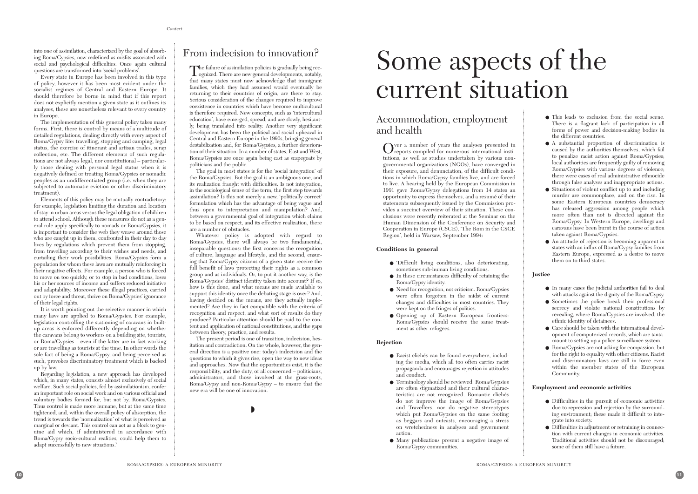into one of assimilation, characterized by the goal of absorbing Roma/Gypsies, now redefined as misfits associated with social and psychological difficulties. Once again cultural questions are transformed into 'social problems'.

Every state in Europe has been involved in this type of policy, however it has been most evident under the socialist regimes of Central and Eastern Europe. It should therefore be borne in mind that if this report does not explicitly mention a given state as it outlines its analyses, these are nonetheless relevant to every country in Europe.

The implementation of this general policy takes many forms. First, there is control by means of a multitude of detailed regulations, dealing directly with every aspect of Roma/Gypsy life: travelling, stopping and camping, legal status, the exercise of itinerant and artisan trades, scrap collection, etc. The different elements of such regulations are not always legal, nor constitutional – particularly those dealing with personal legal status when it is negatively defined or treating Roma/Gypsies or nomadic peoples as an undifferentiated group (i.e. when they are subjected to automatic eviction or other discriminatory treatment).

Elements of this policy may be mutually contradictory: for example, legislation limiting the duration and location of stay in urban areas versus the legal obligation of children to attend school. Although these measures do not as a general rule apply specifically to nomads or Roma/Gypsies, it is important to consider the web they weave around those who are caught up in them, confronted in their day to day lives by regulations which prevent them from stopping, from travelling according to their wishes and needs, and curtailing their work possibilities. Roma/Gypsies form a population for whom these laws are mutually reinforcing in their negative effects. For example, a person who is forced to move on too quickly, or to stop in bad conditions, loses his or her sources of income and suffers reduced initiative and adaptability. Moreover these illegal practices, carried out by force and threat, thrive on Roma/Gypsies' ignorance of their legal rights.

The failure of assimilation policies is gradually being rec-<br>ognized. There are new general developments, notably, that many states must now acknowledge that immigrant families, which they had assumed would eventually be returning to their countries of origin, are there to stay. Serious consideration of the changes required to improve coexistence in countries which have become multicultural is therefore required. New concepts, such as 'intercultural education', have emerged, spread, and are slowly, hesitantly, being translated into reality. Another very significant development has been the political and social upheaval in Central and Eastern Europe in the 1990s, bringing general destabilization and, for Roma/Gypsies, a further deterioration of their situation. In a number of states, East and West, Roma/Gypsies are once again being cast as scapegoats by politicians and the public.

It is worth pointing out the selective manner in which many laws are applied to Roma/Gypsies. For example, legislation controlling the stationing of caravans in builtup areas is enforced differently depending on whether the caravans belong to workers on a building site, tourists, or Roma/Gypsies – even if the latter are in fact working or are travelling as tourists at the time. In other words the sole fact of being a Roma/Gypsy, and being perceived as such, provokes discriminatory treatment which is backed up by law.

Regarding legislation, a new approach has developed which, in many states, consists almost exclusively of social welfare. Such social policies, fed by assimilationism, confer an important role on social work and on various official and voluntary bodies formed for, but not by, Roma/Gypsies. Thus control is made more humane, but at the same time tightened, and, within the overall policy of absorption, the trend is towards the 'normalization' of what is perceived as marginal or deviant. This control can act as a block to genuine aid which, if administered in accordance with Roma/Gypsy socio-cultural realities, could help them to adapt successfully to new situations.7

## From indecision to innovation?

Over a number of years the analyses presented in<br>reports compiled for numerous international institutions, as well as studies undertaken by various nongovernmental organizations (NGOs), have converged in their exposure, and denunciation, of the difficult conditions in which Roma/Gypsy families live, and are forced to live. A hearing held by the European Commission in 1991 gave Roma/Gypsy delegations from 14 states an opportunity to express themselves, and a resumé of their statements subsequently issued by the Commission provides a succinct overview of their situation. These conclusions were recently reiterated at the Seminar on the Human Dimension of the Conference on Security and Cooperation in Europe (CSCE), 'The Rom in the CSCE Region', held in Warsaw, September 1994:

The goal in most states is for the 'social integration' of the Roma/Gypsies. But the goal is an ambiguous one, and its realization fraught with difficulties. Is not integration, in the sociological sense of the term, the first step towards assimilation? Is this not merely a new, 'politically correct' formulation which has the advantage of being vague and thus open to interpretation and manipulation? And, between a governmental goal of integration which claims to be based on respect, and its effective realization, there are a number of obstacles.

Whatever policy is adopted with regard to Roma/Gypsies, there will always be two fundamental, inseparable questions: the first concerns the recognition of culture, language and lifestyle, and the second, ensuring that Roma/Gypsy citizens of a given state receive the full benefit of laws protecting their rights as a common group and as individuals. Or, to put it another way, is the Roma/Gypsies' distinct identity taken into account? If so, how is this done, and what means are made available to support this identity once the debating stage is over? And, having decided on the means, are they actually implemented? Are they in fact compatible with the criteria of recognition and respect, and what sort of results do they produce? Particular attention should be paid to the content and application of national constitutions, and the gaps between theory, practice, and results.

The present period is one of transition, indecision, hesitation and contradiction. On the whole, however, the general direction is a positive one: today's indecision and the questions to which it gives rise, open the way to new ideas and approaches. Now that the opportunities exist, it is the responsibility, and the duty, of all concerned – politicians, administrators, and those involved at the grass-roots, Roma/Gypsy and non-Roma/Gypsy – to ensure that the new era will be one of innovation.

◗

## Accommodation, employment and health

#### **Conditions in general**

- 'Difficult living conditions, also deteriorating, sometimes sub-human living conditions.
- In these circumstances difficulty of retaining the Roma/Gypsy identity.
- Need for recognition, not criticism. Roma/Gypsies were often forgotten in the midst of current changes and difficulties in most countries. They were kept on the fringes of politics.
- Opening up of Eastern European frontiers: Roma/Gypsies should receive the same treatment as other refugees.

#### **Rejection**

- Racist clichés can be found everywhere, including the media, which all too often carries racist propaganda and encourages rejection in attitudes and conduct.
- Terminology should be reviewed. Roma/Gypsies are often stigmatized and their cultural characteristics are not recognized. Romantic clichés do not improve the image of Roma/Gypsies and Travellers, nor do negative stereotypes which put Roma/Gypsies on the same footing as beggars and outcasts, encouraging a stress on wretchedness in analyses and government action.
- Many publications present a negative image of Roma/Gypsy communities.
- This leads to exclusion from the social scene. There is a flagrant lack of participation in all forms of power and decision-making bodies in the different countries.
- A substantial proportion of discrimination is caused by the authorities themselves, which fail to penalize racist action against Roma/Gypsies; local authorities are frequently guilty of removing Roma/Gypsies with various degrees of violence; there were cases of real administrative ethnocide through false analyses and inappropriate actions.
- Situations of violent conflict up to and including murder are commonplace, and on the rise. In some Eastern European countries democracy has released aggression among people which more often than not is directed against the Roma/Gypsy. In Western Europe, dwellings and caravans have been burnt in the course of action taken against Roma/Gypsies.
- An attitude of rejection is becoming apparent in states with an influx of Roma/Gypsy families from Eastern Europe, expressed as a desire to move them on to third states.

#### **Justice**

- In many cases the judicial authorities fail to deal with attacks against the dignity of the Roma/Gypsy.
- Sometimes the police break their professional secrecy and violate national constitutions by revealing, where Roma/Gypsies are involved, the ethnic identity of detainees.
- $\bullet~$  Care should be taken with the international development of computerized records, which are tantamount to setting up a police surveillance system.
- Roma/Gypsies are not asking for compassion, but for the right to equality with other citizens. Racist and discriminatory laws are still in force even within the member states of the European Community.

#### **Employment and economic activities**

- Difficulties in the pursuit of economic activities due to repression and rejection by the surrounding environment; these made it difficult to integrate into society.
- Difficulties in adjustment or retraining in connection with current changes in economic activities. Traditional activities should not be discouraged; some of them still have a future.

# Some aspects of the current situation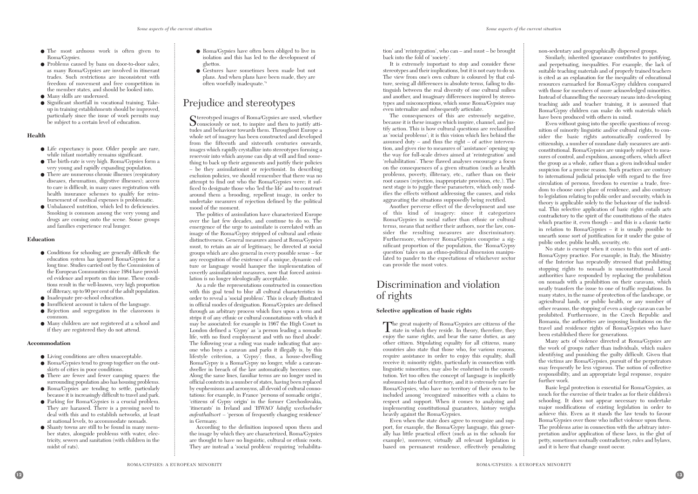tion' and 'reintegration', who can – and must – be brought back into the fold of 'society'.

It is extremely important to stop and consider these stereotypes and their implications, but it is not easy to do so. The view from one's own culture is coloured by that culture, seeing all differences in absolute terms, failing to distinguish between the real diversity of one cultural milieu and another, and imaginary differences inspired by stereotypes and misconceptions, which some Roma/Gypsies may even internalize and subsequently articulate.

The consequences of this are extremely negative, because it is these images which inspire, channel, and justify action. This is how cultural questions are reclassified as 'social problems'; it is this vision which lies behind the assumed  $\bar{d}$ uty – and thus the right – of active intervention, and gives rise to measures of 'assistance' opening up the way for full-scale drives aimed at 'reintegration' and 'rehabilitation'. These flawed analyses encourage a focus on the consequences of a given situation (such as health problems, poverty, illiteracy, etc., rather than on their root causes (rejection, inappropriate provision, etc.). The next stage is to juggle these parameters, which only modifies the effects without addressing the causes, and risks aggravating the situations supposedly being rectified.

Another perverse effect of the development and use of this kind of imagery: since it categorizes Roma/Gypsies in social rather than ethnic or cultural terms, means that neither their authors, nor the law, consider the resulting measures are discriminatory. Furthermore, wherever Roma/Gypsies comprise a significant proportion of the population, the 'Roma/Gypsy question' takes on an ethno-political dimension manipulated to pander to the expectations of whichever sector can provide the most votes.

## Discrimination and violation of rights

#### **Selective application of basic rights**

The great majority of Roma/Gypsies are citizens of the state in which they reside. In theory, therefore, they enjoy the same rights, and bear the same duties, as any other citizen. Stipulating equality for all citizens, many countries also state that those who, for various reasons, require assistance in order to enjoy this equality, shall receive it; minority rights, particularly in connection with linguistic minorities, may also be enshrined in the constitution. Yet too often the concept of language is implicitly subsumed into that of territory, and it is extremely rare for Roma/Gypsies, who have no territory of their own to be included among 'recognized' minorities with a claim to respect and support. When it comes to analyzing and implementing constitutional guarantees, history weighs heavily against the Roma/Gypsies.

Many acts of violence directed at Roma/Gypsies are the work of groups rather than individuals, which makes identifying and punishing the guilty difficult. Given that the victims are Roma/Gypsies, pursuit of the perpetrators may frequently be less vigorous. The notion of collective responsibility, and an appropriate legal response, require further work.

Even when the state does agree to recognize and support, for example, the Roma/Gypsy language, this generally has little practical effect (such as in the schools for example), moreover, virtually all relevant legislation is based on permanent residence, effectively penalizing non-sedentary and geographically dispersed groups.

Similarly, inherited ignorance contributes to justifying. and perpetuating, inequalities. For example, the lack of suitable teaching materials and of properly trained teachers is cited as an explanation for the inequality of educational resources earmarked for Roma/Gypsy children compared with those for members of more acknowledged minorities. Instead of channelling the necessary means into developing teaching aids and teacher training, it is assumed that Roma/Gypsy children can make do with materials which have been produced with others in mind.

Even without going into the specific questions of recognition of minority linguistic and/or cultural rights, to consider the basic rights automatically conferred by citizenship, a number of mundane daily measures are anticonstitutional. Roma/Gypsies are uniquely subject to measures of control, and expulsion, among others, which affect the group as a whole, rather than a given individual under suspicion for a precise reason. Such practices are contrary to international judicial principle with regard to the free circulation of persons, freedom to exercise a trade, freedom to choose one's place of residence, and also contrary to legislation relating to public order and security, which in theory is applicable solely to the behaviour of the individual. This selective application of basic rights entails acts contradictory to the spirit of the constitutions of the states which practise it, even though – and this is a classic tactic in relation to Roma/Gypsies – it is usually possible to unearth some sort of justification for it under the guise of public order, public health, security, etc.

- Roma/Gypsies have often been obliged to live in isolation and this has led to the development of ghettos.
- Gestures have sometimes been made but not plans. And when plans have been made, they are often woefully inadequate.'8

Stereotyped images of Roma/Gypsies are used, whether<br>consciously or not, to inspire and then to justify atti-<br>today and halo signature towards them. Then ghost Europe tudes and behaviour towards them. Throughout Europe a whole set of imagery has been constructed and developed from the fifteenth and sixteenth centuries onwards, images which rapidly crystallize into stereotypes forming a reservoir into which anyone can dip at will and find something to back up their arguments and justify their policies – be they assimilationist or rejectionist. In describing exclusion policies, we should remember that there was no attempt to find out who the Roma/Gypsies were; it sufficed to designate those who 'led the life' and to construct around them a brooding, repellent image, in order to undertake measures of rejection defined by the political mood of the moment.

> No state is exempt when it comes to this sort of anti-Roma/Gypsy practice. For example, in Italy, the Ministry of the Interior has repeatedly stressed that prohibiting stopping rights to nomads is unconstitutional. Local authorities have responded by replacing the prohibition on nomads with a prohibition on their caravans, which neatly transfers the issue to one of traffic regulations. In many states, in the name of protection of the landscape, or agricultural lands, or public health, or any number of other reasons, the stopping of even a single caravan can be prohibited. Furthermore, in the Czech Republic and Romania, the authorities are imposing limitations on the travel and residence rights of Roma/Gypsies who have been established there for generations.

> Basic legal protection is essential for Roma/Gypsies, as much for the exercise of their trades as for their children's schooling. It does not appear necessary to undertake major modifications of existing legislation in order to achieve this. Even as it stands the law tends to favour Roma/Gypsies over those who inflict violence upon them. The problems arise in connection with the arbitrary interpretation and/or application of these laws, in the glut of petty, sometimes mutually contradictory, rules and bylaws, and it is here that change must occur.

- The most arduous work is often given to Roma/Gypsies.
- Problems caused by bans on door-to-door sales, as many Roma/Gypsies are involved in itinerant trades. Such restrictions are inconsistent with freedom of movement and free competition in the member states, and should be looked into.
- Many skills are underused.
- Significant shortfall in vocational training. Takeup in training establishments should be improved, particularly since the issue of work permits may be subject to a certain level of education.

#### **Health**

- Life expectancy is poor. Older people are rare, while infant mortality remains significant.
- The birth-rate is very high. Roma/Gypsies form a very young and rapidly expanding population.
- There are numerous chronic illnesses (respiratory diseases, rheumatism, digestive illnesses); access to care is difficult, in many cases registration with health insurance schemes to qualify for reimbursement of medical expenses is problematic.
- Unbalanced nutrition, which led to deficiencies. Smoking is common among the very young and drugs are coming onto the scene. Some groups and families experience real hunger.

#### **Education**

- Conditions for schooling are generally difficult: the education system has ignored Roma/Gypsies for a long time. Studies carried out by the Commission of the European Communities since 1984 have provided evidence and reports on this issue. These conditions result in the well-known, very high proportion of illiteracy, up to 90 per cent of the adult population.
- Inadequate pre-school education.
- Insufficient account is taken of the language.
- Rejection and segregation in the classroom is common.
- Many children are not registered at a school and if they are registered they do not attend.

#### **Accommodation**

- Living conditions are often unacceptable.
- Roma/Gypsies tend to group together on the outskirts of cities in poor conditions.
- There are fewer and fewer camping spaces: the surrounding population also has housing problems.
- Roma/Gypsies are tending to settle, particularly because it is increasingly difficult to travel and park.
- Parking for Roma/Gypsies is a crucial problem. They are harassed. There is a pressing need to deal with this and to establish networks, at least at national levels, to accommodate nomads.
- Shanty towns are still to be found in many member states, alongside problems with water, electricity, sewers and sanitation (with children in the midst of rats).

## Prejudice and stereotypes

The politics of assimilation have characterized Europe over the last few decades, and continue to do so. The emergence of the urge to assimilate is correlated with an image of the Roma/Gypsy stripped of cultural and ethnic distinctiveness. General measures aimed at Roma/Gypsies must, to retain an air of legitimacy, be directed at social groups which are also general in every possible sense – for any recognition of the existence of a unique, dynamic culture or language would hamper the implementation of covertly assimilationist measures, now that forced assimilation is no longer ideologically acceptable.

As a rule the representations constructed in connection with this goal tend to blur all cultural characteristics in order to reveal a 'social problem'. This is clearly illustrated in official modes of designation. Roma/Gypsies are defined through an arbitrary process which fixes upon a term and strips it of any ethnic or cultural connotations with which it may be associated: for example in 1967 the High Court in London defined a 'Gypsy' as 'a person leading a nomadic life, with no fixed employment and with no fixed abode'. The following year a ruling was made indicating that anyone who buys a caravan and parks it illegally is, by this lifestyle criterion, a 'Gypsy'; thus, a house-dwelling Roma/Gypsy is a Roma/Gypsy no longer, while a caravandweller in breach of the law automatically becomes one. Along the same lines, familiar terms are no longer used in official contexts in a number of states, having been replaced by euphemisms and acronyms, all devoid of cultural connotations: for example, in France 'persons of nomadic origin', 'citizens of Gypsy origin' in the former Czechoslovakia, 'itinerants' in Ireland and 'HWAO' *häufig wechselnder aufenthaltsort* – 'person of frequently changing residence' in Germany.

According to the definition imposed upon them and the image by which they are characterized, Roma/Gypsies are thought to have no linguistic, cultural or ethnic roots. They are instead a 'social problem' requiring 'rehabilita-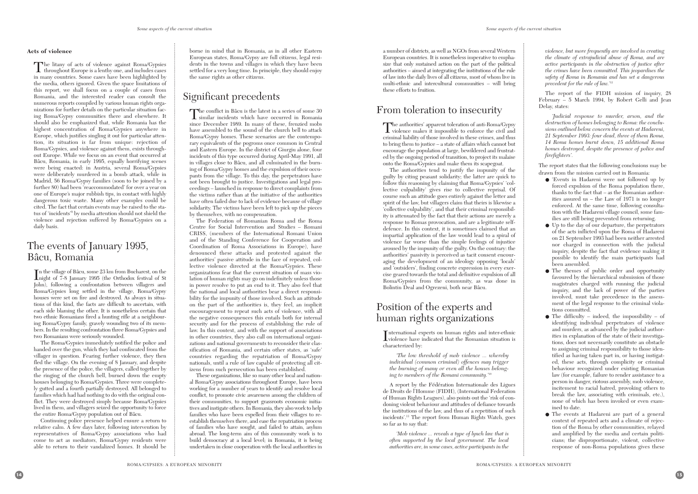#### **Acts of violence**

The litany of acts of violence against Roma/Gypsies<br>throughout Europe is a lenthy one, and includes cases in many countries. Some cases have been highlighted by the media, others ignored. Given the space limitations of this report, we shall focus on a couple of cases from Romania, and the interested reader can consult the numerous reports compiled by various human rights organizations for further details on the particular situation facing Roma/Gypsy communities there and elsewhere. It should also be emphasized that, while Romania has the highest concentration of Roma/Gypsies anywhere in Europe, which justifies singling it out for particular attention, its situation is far from unique: rejection of Roma/Gypsies, and violence against them, exists throughout Europe. While we focus on an event that occurred at Bâcu, Romania, in early 1995, equally horrifying scenes were being enacted: in Austria, several Roma/Gypsies were deliberately murdered in a bomb attack, while in Madrid, 56 Roma/Gypsy families (soon to be joined by a further 80) had been 'reaccommodated' for over a year on one of Europe's major rubbish tips, in contact with highly dangerous toxic waste. Many other examples could be cited. The fact that certain events may be raised to the status of 'incidents'9 by media attention should not shield the violence and rejection suffered by Roma/Gypsies on a daily basis.

In the village of Bâcu, some 23 km from Bucharest, on the<br>
hight of 7-8 January 1995 (the Orthodox festival of St n the village of Bâcu, some 23 km from Bucharest, on the John), following a confrontation between villagers and Roma/Gypsies long settled in the village, Roma/Gypsy houses were set on fire and destroyed. As always in situations of this kind, the facts are difficult to ascertain, with each side blaming the other. It is nonetheless certain that two ethnic Romanians fired a hunting rifle at a neighbouring Roma/Gypsy family, gravely wounding two of its members. In the resulting confrontation three Roma/Gypsies and two Romanians were seriously wounded.

## The events of January 1995, Bâcu, Romania

The conflict in Bâcu is the latest in a series of some 30<br>similar incidents which have occurred in Romania<br>since December 1080. In mann of these founied makes since December 1989. In many of these, frenzied mobs have assembled to the sound of the church bell to attack Roma/Gypsy homes. These scenarios are the contemporary equivalents of the pogroms once common in Central and Eastern Europe. In the district of Giurgiu alone, four incidents of this type occurred during April-May 1991, all in villages close to Bâcu, and all culminated in the burning of Roma/Gypsy homes and the expulsion of their occupants from the village. To this day, the perpetrators have not been brought to justice. Investigations and legal proceedings – launched in response to direct complaints from the victims rather than at the initiative of the authorities have often failed due to lack of evidence because of village solidarity. The victims have been left to pick up the pieces by themselves, with no compensation.

The Roma/Gypsies immediately notified the police and handed over the gun, which they had confiscated from the villager in question. Fearing further violence, they then fled the village. On the evening of 8 January, and despite the presence of the police, the villagers, called together by the ringing of the church bell, burned down the empty houses belonging to Roma/Gypsies. Three were completely gutted and a fourth partially destroyed. All belonged to families which had had nothing to do with the original conflict. They were destroyed simply because Roma/Gypsies lived in them, and villagers seized the opportunity to force the entire Roma/Gypsy population out of Bâcu.

Continuing police presence helped ensure a return to relative calm. A few days later, following intervention by representatives of Roma/Gypsy associations who had come to act as mediators, Roma/Gypsy residents were able to return to their vandalized homes. It should be

borne in mind that in Romania, as in all other Eastern European states, Roma/Gypsy are full citizens, legal residents in the towns and villages in which they have been settled for a very long time. In principle, they should enjoy the same rights as other citizens.

## Significant precedents

The authorities' apparent toleration of anti-Roma/Gypsy<br>violence makes it impossible to enforce the civil and<br>interval and the civil and criminal liability of those involved in these crimes, and thus to bring them to justice – a state of affairs which cannot but encourage the population at large, bewildered and frustrated by the ongoing period of transition, to project its malaise onto the Roma/Gypsies and make them its scapegoat.

International experts on human rights and inter-ethnic<br>violence have indicated that the Romanian situation is nternational experts on human rights and inter-ethnic characterized by:

The report of the FIDH mission of inquiry, 28 February – 5 March 1994, by Robert Gelli and Jean Delay, states:

The Federation of Romanian Roma and the Roma Centre for Social Intervention and Studies – Romani CRISS, (members of the International Romani Union and of the Standing Conference for Cooperation and Coordination of Roma Associations in Europe), have denounced these attacks and protested against the authorities' passive attitude in the face of repeated, collective violence directed at the Roma/Gypsies. These organizations fear that the current situation of mass violation of human rights may go on indefinitely unless those in power resolve to put an end to it. They also feel that the national and local authorities bear a direct responsibility for the impunity of those involved. Such an attitude on the part of the authorities is, they feel, an implicit encouragement to repeat such acts of violence, with all the negative consequences this entails both for internal security and for the process of establishing the rule of law. In this context, and with the support of associations in other countries, they also call on international organizations and national governments to reconsider their classification of Romania, and certain other states, as 'safe' countries regarding the repatriation of Roma/Gypsy nationals, until a rule of law capable of protecting all citizens from such persecution has been established.

These organizations, like so many other local and national Roma/Gypsy associations throughout Europe, have been working for a number of years to identify and resolve local conflict, to promote civic awareness among the children of their communities, to support grassroots economic initiatives and instigate others. In Romania, they also work to help families who have been expelled from their villages to reestablish themselves there, and ease the repatriation process of families who have sought, and failed to attain, asylum abroad. The long-term aim of this community work is to build democracy at a local level; in Romania, it is being undertaken in close cooperation with the local authorities in a number of districts, as well as NGOs from several Western European countries. It is nonetheless imperative to emphasize that only sustained action on the part of the political authorities – aimed at integrating the institutions of the rule of law into the daily lives of all citizens, most of whom live in multi-ethnic and intercultural communities – will bring these efforts to fruition.

## From toleration to insecurity

The authorities tend to justify the impunity of the guilty by citing peasant solidarity; the latter are quick to follow this reasoning by claiming that Roma/Gypsies' 'collective culpability' gives rise to collective reprisal. Of course such an attitude goes entirely against the letter and spirit of the law, but villagers claim that theirs is likewise a 'collective culpability', and that their criminal responsibility is attenuated by the fact that their actions are merely a response to Romas provocation, and are a legitimate selfdefence. In this context, it is sometimes claimed that an impartial application of the law would lead to a spiral of violence far worse than the simple feelings of injustice aroused by the impunity of the guilty. On the contrary: the authorities' passivity is perceived as tacit consent encouraging the development of an ideology opposing 'locals' and 'outsiders', finding concrete expression in every exercise geared towards the total and definitive expulsion of all Roma/Gypsies from the community, as was done in Bolintin Deal and Ogrezeni, both near Bâcu.

## Position of the experts and human rights organizations

*'The low threshold of mob violence ... whereby individual (common criminal) offences may trigger the burning of many or even all the houses belonging to members of the Romani community.'10*

A report by the Fédération Internationale des Ligues de Droits de l'Homme (FIDH), (International Federation of Human Rights Leagues), also points out the 'risk of condoning violent behaviour and attitudes of defiance towards the institutions of the law, and thus of a repetition of such incidents'.11 The report from Human Rights Watch, goes so far as to say that:

*'Mob violence ... reveals a type of lynch law that is often supported by the local government. The local authorities are, in some cases, active participants in the* *violence, but more frequently are involved in creating the climate of extrajudicial abuse of Roma, and are active participants in the obstruction of justice after the crimes have been committed. This jeopardises the safety of Roma in Romania and has set a dangerous precedent for the rule of law.'12*

*'Judicial response to murder, arson, and the destruction of homes belonging to Roma: the conclusions outlined below concern the events at Hadareni, 21 September 1993: four dead, three of them Roma, 14 Roma homes burnt down, 15 additional Roma homes destroyed, despite the presence of police and firefighters'.* 

The report states that the following conclusions may be drawn from the mission carried out in Romania:

- 'Events in Hadareni were not followed up by forced expulsion of the Roma population there, thanks to the fact that – as the Romanian authorities assured us – the Law of 1971 is no longer enforced. At the same time, following consultation with the Hadareni village council, some families are still being prevented from returning.
- Up to the day of our departure, the perpetrators of the acts inflicted upon the Roma of Hadareni on 21 September 1993 had been neither arrested nor charged in connection with the judicial inquiry, despite the fact that evidence making it possible to identify the main participants had been assembled.
- The themes of public order and opportunity favoured by the hierarchical submission of those magistrates charged with running the judicial inquiry, and the lack of power of the parties involved, must take precedence in the assessment of the legal response to the criminal violations committed.
- $\bullet$  The difficulty indeed, the impossibility of identifying individual perpetrators of violence and murders, as advanced by the judicial authorities in explanation of the state of their investigations, does not necessarily constitute an obstacle to assigning criminal responsibility to those identified as having taken part in, or having instigated, these acts, through complicity or criminal behaviour recognized under existing Romanian law (for example, failure to render assistance to a person in danger, riotous assembly, mob violence, incitement to racial hatred, provoking others to break the law, associating with criminals, etc.), none of which has been invoked or even examined to date.
- The events at Hadareni are part of a general context of repeated acts and a climate of rejection of the Roma by other communities, relayed and amplified by the media and certain politicians; the disproportionate, violent, collective response of non-Roma populations gives these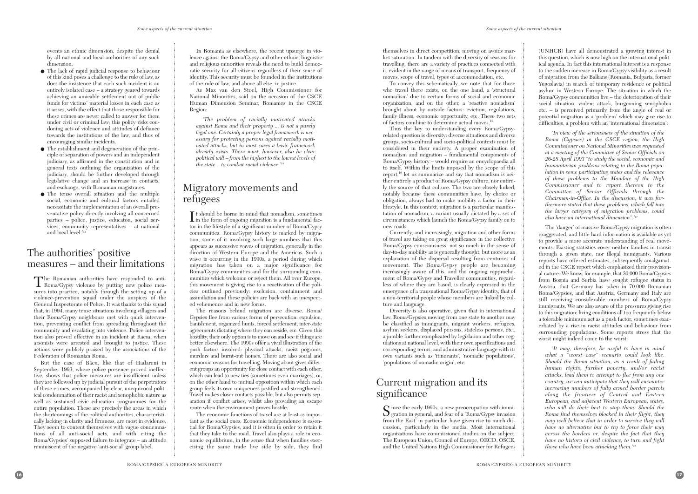themselves in direct competition; moving on avoids market saturation. In tandem with the diversity of reasons for travelling, there are a variety of practices connected with it, evident in the range of means of transport, frequency of moves, scope of travel, types of accommodation, etc.

To convey this schematically, we note that for those who travel there exists, on the one hand, a 'structural nomadism' due to certain forms of social and economic organization, and on the other, a 'reactive nomadism' brought about by outside factors: eviction, regulations, family illness, economic opportunity, etc. These two sets of factors combine to determine actual moves.15

Thus the key to understanding every Roma/Gypsyrelated question is diversity: diverse situations and diverse groups, socio-cultural and socio-political contexts must be considered in their entirety. A proper examination of nomadism and migration – fundamental components of Roma/Gypsy history – would require an encyclopaedia all to itself. Within the limits imposed by the scope of this report,<sup>16</sup> let us summarize and say that nomadism is neither entirely a product of Roma/Gypsy culture, nor entirely the source of that culture. The two are closely linked, notably because these communities have, by choice or obligation, always had to make mobility a factor in their lifestyle. In this context, migration is a particular manifestation of nomadism, a variant usually dictated by a set of circumstances which launch the Roma/Gypsy family on to new roads.

Since the early 1990s, a new preoccupation with immigration in general, and fear of a 'Roma/Gypsy invasion from the East' in particular, have given rise to much discussion, particularly in the media. Most international organizations have commissioned studies on the subject. The European Union, Council of Europe, OECD, OSCE, and the United Nations High Commissioner for Refugees

Currently, and increasingly, migration and other forms of travel are taking on great significance in the collective Roma/Gypsy consciousness, not so much in the sense of day-to-day mobility as is generally thought, but more as an explanation of the dispersal resulting from centuries of movement. The Roma/Gypsy people are becoming increasingly aware of this, and the ongoing rapprochement of Roma/Gypsy and Traveller communities, regardless of where they are based, is clearly expressed in the emergence of a transnational Roma/Gypsy identity, that of a non-territorial people whose members are linked by culture and language.

Diversity is also operative, given that in international law, Roma/Gypsies moving from one state to another may be classified as immigrants, migrant workers, refugees, asylum seekers, displaced persons, stateless persons, etc., a jumble further complicated by legislation and other regulations at national level, with their own specifications and corresponding terms, and administrative language with its own variants such as 'itinerants', 'nomadic populations', 'populations of nomadic origin', etc.

## Current migration and its significance

- The lack of rapid judicial response to behaviour of this kind poses a challenge to the rule of law, as does the insistence that each such incident is an entirely isolated case – a strategy geared towards achieving an amicable settlement out of public funds for victims' material losses in each case as it arises, with the effect that those responsible for these crimes are never called to answer for them under civil or criminal law; this policy risks condoning acts of violence and attitudes of defiance towards the institutions of the law, and thus of encouraging similar incidents.
- The establishment and degeneration of the principle of separation of powers and an independent judiciary, as affirmed in the constitution and in general texts outlining the organization of the judiciary, should be further developed through legislative change and an increase in contacts, and exchange, with Romanian magistrates.
- $\bullet$  The tense overall situation and the multiple social, economic and cultural factors entailed necessitate the implementation of an overall preventative policy directly involving all concerned parties – police, justice, educaton, social services, community representatives – at national and local level.<sup>'13</sup>

(UNHCR) have all demonstrated a growing interest in this question, which is now high on the international political agenda. In fact this international interest is a response to the sudden increase in Roma/Gypsy visibility as a result of migration from the Balkans (Romania, Bulgaria, former Yugoslavia) in search of temporary residence or political asylum in Western Europe. The situation in which the Roma/Gypsy communities live – the deterioration of their social situation, violent attack, burgeoning xenophobia etc. – is perceived primarily from the angle of real or potential migration as a 'problem' which may give rise to difficulties, a problem with an 'international dimension':

*'In view of the seriousness of the situation of the Roma (Gypsies) in the CSCE region, the High Commissioner on National Minorities was requested at a meeting of the Committee of Senior Officials on 26-28 April 1993 "to study the social, economic and humanitarian problems relating to the Roma population in some participating states and the relevance of these problems to the Mandate of the High Commissioner and to report thereon to the Committee of Senior Officials through the Chairman-in-Office. In the discussion, it was furthermore stated that these problems, which fall into the larger category of migration problems, could also have an international dimension".'17*

The Romanian authorities have responded to anti-<br>Roma/Gypsy violence by putting new police mea-<br>news into graphic notable through the estimate of a sures into practice, notably through the setting up of a violence-prevention squad under the auspices of the General Inspectorate of Police. It was thanks to this squad that, in 1994, many tense situations involving villagers and their Roma/Gypsy neighbours met with quick intervention, preventing conflict from spreading throughout the community and escalating into violence. Police intervention also proved effective in an incident at Racsa, when arsonists were arrested and brought to justice. These actions were publicly praised by the associations of the Federation of Romanian Roma.

The 'danger' of massive Roma/Gypsy migration is often exaggerated, and little hard information is available as yet to provide a more accurate understanding of real movements. Existing statistics cover neither families in transit through a given state, nor illegal immigrants. Various reports have offered estimates, subsequently amalgamated in the CSCE report which emphasized their provisional nature. We know, for example, that 30,000 Roma/Gypsies from Bosnia and Serbia have sought refugee status in Austria, that Germany has taken in 70,000 Romanian Roma/Gypsies, and that Austria, Germany and Italy are still receiving considerable numbers of Roma/Gypsy immigrants. We are also aware of the pressures giving rise to this migration: living conditions all too frequently below a tolerable minimum act as a push factor, sometimes exacerbated by a rise in racist attitudes and behaviour from surrounding populations. Some reports stress that the worst might indeed come to the worst:

 $\prod$ t should be borne in mind that nomadism, sometimes<br>in the form of ongoing migration is a fundamental factor in the lifestyle of a significant number of Roma/Gypsy communities. Roma/Gypsy history is marked by migration, some of it involving such large numbers that this appears as successive waves of migration, generally in the direction of Western Europe and the Americas. Such a wave is occurring in the 1990s, a period during which migration has taken on a major significance for Roma/Gypsy communities and for the surrounding communities which welcome or reject them. All over Europe, this movement is giving rise to a reactivation of the policies outlined previously: exclusion, containment and assimilation and these policies are back with an unexpected vehemence and in new forms.

> *'It may, therefore, be useful to have in mind what a "worst case" scenario could look like. Should the Roma situation, as a result of failing human rights, further poverty, and/or racist attacks, lead them to attempt to flee from any one country, we can anticipate that they will encounter increasing numbers of fully armed border patrols along the frontiers of Central and Eastern European, and adjacent Western European, states, who will do their best to stop them. Should the Roma find themselves blocked in their flight, they may well believe that in order to survive they will have no alternative but to try to force their way across the borders or, despite the fact that they have no history of civil violence, to turn and fight those who have been attacking them.'18*

events an ethnic dimension, despite the denial by all national and local authorities of any such dimension.

## The authorities' positive measures – and their limitations

But the case of Bâcu, like that of Hadareni in September 1993, where police presence proved ineffective, shows that police measures are insufficient unless they are followed up by judicial pursuit of the perpetrators of these crimes, accompanied by clear, unequivocal political condemnation of their racist and xenophobic nature as well as sustained civic education programmes for the entire population. These are precisely the areas in which the shortcomings of the political authorities, characteristically lacking in clarity and firmness, are most in evidence. They seem to content themselves with vague condemnations of all anti-social acts, and with citing the Roma/Gypsies' supposed failure to integrate – an attitude reminiscent of the negative 'anti-social' group label.

In Romania as elsewhere, the recent upsurge in violence against the Roma/Gypsy and other ethnic, linguistic and religious minorities reveals the need to build democratic security for all citizens regardless of their sense of identity. This security must be founded in the institutions of the rule of law, and above all else, in justice.

As Max van den Stoel, High Commissioner for National Minorities, said on the occasion of the CSCE Human Dimension Seminar, Romanies in the CSCE Region:

*'The problem of racially motivated attacks against Roma and their property ... is not a purely legal one. Certainly a proper legal framework is necessary for protecting persons against racially motivated attacks, but in most cases a basic framework already exists. There must, however, also be clear political will – from the highest to the lowest levels of the state – to combat racial violence.'14*

## Migratory movements and refugees

The reasons behind migration are diverse. Roma/ Gypsies flee from various forms of persecution: expulsion, banishment, organized hunts, forced settlement, inter-state agreements dictating where they can reside, etc. Given this hostility, their only option is to move on and see if things are better elsewhere. The 1990s offer a vivid illustration of the push factors involved: physical attacks, racist pogroms, murders and burnt-out homes. There are also social and economic reasons for travelling. Moving about gives different groups an opportunity for close contact with each other, which can lead to new ties (sometimes even marriages), or, on the other hand to mutual opposition within which each group feels its own uniqueness justified and strengthened. Travel makes closer contacts possible, but also permits separation if conflict arises, whilst also providing an escape route when the environment proves hostile.

The economic functions of travel are at least as important as the social ones. Economic independence is essential for Roma/Gypsies, and it is often in order to retain it that they take to the road. Travel also plays a role in economic equilibrium, in the sense that when families exercising the same trade live side by side, they find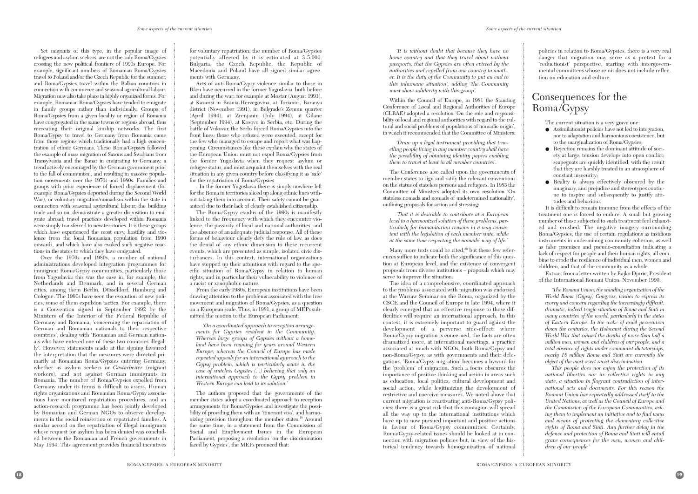*'It is without doubt that because they have no home country and that they travel about without passports, that the Gypsies are often evicted by the authorities and repelled from one country to another. It is the duty of the Community to put an end to this inhumane situation', adding 'the Community must show solidarity with this group'.* 

Within the Council of Europe, in 1981 the Standing Conference of Local and Regional Authorities of Europe (CLRAE) adopted a resolution 'On the role and responsibility of local and regional authorities with regard to the cultural and social problems of populations of nomadic origin', in which it recommended that the Committee of Ministers:

*'Draw up a legal instrument providing that travelling people living in any member country shall have the possibility of obtaining identity papers enabling them to travel at least in all member countries'.* 

Many more texts could be cited, $20$  but these few references suffice to indicate both the significance of this question at European level, and the existence of convergent proposals from diverse institutions – proposals which may serve to improve the situation.

The Conference also called upon the governments of member states to sign and ratify the relevant conventions on the status of stateless persons and refugees. In 1983 the Committee of Ministers adopted its own resolution 'On stateless nomads and nomads of undetermined nationality', outlining proposals for action and stressing:

*'That it is desirable to contribute at a European level to a harmonized solution of these problems, particularly for humanitarian reasons in a way consistent with the legislation of each member state, while at the same time respecting the nomads' way of life.'*

The idea of a comprehensive, coordinated approach to the problems associated with migration was endorsed at the Warsaw Seminar on the Roma, organized by the CSCE and the Council of Europe in late 1994, where it clearly emerged that an effective response to these difficulties will require an international approach. In this context, it is extremely important to guard against the development of a perverse side-effect: where Roma/Gypsy migration is concerned, the facts are often dramatized more, at international meetings, a practice associated as much with NGOs, both Roma/Gypsy and non-Roma/Gypsy, as with governments and their delegations. 'Roma/Gypsy migration' becomes a byword for the 'problem' of migration. Such a focus obscures the importance of positive thinking and action in areas such as education, local politics, cultural development and social action, while legitimizing the development of restrictive and coercive measures. We noted above that current migration is reactivating anti-Roma/Gypsy policies: there is a great risk that this contagion will spread all the way up to the international institutions which have up to now pursued important and positive actions in favour of Roma/Gypsy communities. Certainly, Roma/Gypsy-related issues should be looked at in connection with migration policies but, in view of the historical tendency towards homogenization of national

policies in relation to Roma/Gypsies, there is a very real danger that migration may serve as a pretext for a 'reductionist' perspective, starting with intergovernmental committees whose remit does not include reflection on education and culture.

## Consequences for the Roma/Gypsy

The current situation is a very grave one:

- Assimilationist policies have not led to integration, nor to adaptation and harmonious coexistence, but to the marginalization of Roma/Gypsies;
- Rejection remains the dominant attitude of society at large; tension develops into open conflict; scapegoats are quickly identified, with the result that they are harshly treated in an atmosphere of constant insecurity;
- Reality is always effectively obscured by the imaginary, and prejudice and stereotypes continue to inspire and subsequently to justify attitudes and behaviour.

It is difficult to remain immune from the effects of the treatment one is forced to endure. A small but growing number of those subjected to such treatment feel exhausted and crushed. The negative imagery surrounding Roma/Gypsies, the use of certain regulations as insidious instruments in undermining community cohesion, as well as false promises and pseudo-consultation indicating a lack of respect for people and their human rights, all combine to erode the resilience of individual men, women and children, and that of the community as a whole.

Extract from a letter written by Rajko Djuric, President of the International Romani Union, November 1990:

*'The Romani Union, the standing organization of the World Roma (Gypsy) Congress, wishes to express its worry and concern regarding the increasingly difficult, dramatic, indeed tragic situation of Roma and Sinti in many countries of the world, particularly in the states of Eastern Europe. In the wake of cruel persecution down the centuries, the Holocaust during the Second World War that caused the deaths of more than half a million men, women and children of our people, and a total absence of rights under communist dictatorships, nearly 15 million Roma and Sinti are currently the object of the most overt racist discrimination.*

*This people does not enjoy the protection of its national liberties nor its collective rights in any state, a situation in flagrant contradiction of international acts and documents. For this reason the Romani Union has repeatedly addressed itself to the United Nations, as well as the Council of Europe and the Commission of the European Communities, asking them to implement an initiative and to find ways and means of protecting the elementary collective rights of Roma and Sinti. Any further delay in the defence and protection of Roma and Sinti will entail grave consequences for the men, women and children of our people.'*

Yet migrants of this type, in the popular image of refugees and asylum seekers, are not the only Roma/Gypsies crossing the new political frontiers of 1990s Europe. For example, significant numbers of Romanian Roma/Gypsies travel to Poland and/or the Czech Republic for the summer, and Roma/Gypsies travel within the Balkan countries in connection with commerce and seasonal agricultural labour. Migration may also take place in highly organized forms. For example, Romanian Roma/Gypsies have tended to emigrate in family groups rather than individually. Groups of Roma/Gypsies from a given locality or region of Romania have congregated in the same towns or regions abroad, thus recreating their original kinship networks. The first Roma/Gypsy to travel to Germany from Romania came from those regions which traditionally had a high concentration of ethnic Germans. These Roma/Gypsies followed the example of mass migration of Saxons and Swabians from Transylvania and the Banat in emigrating to Germany, a trend actively encouraged by the German government prior to the fall of communism, and resulting in massive population movements over the 1970s and 1980s. Families and groups with prior experience of forced displacement (for example Roma/Gypsies deported during the Second World War), or voluntary migration/nomadism within the state in connection with seasonal agricultural labour, the building trade and so on, demonstrate a greater disposition to emigrate abroad; travel practices developed within Romania were simply transferred to new territories. It is these groups which have experienced the most envy, hostility and violence from the local Romanian population from 1990 onwards, and which have also evoked such negative reactions in the states to which they have emigrated.

Over the 1970s and 1980s, a number of national administrations developed integration programmes for immigrant Roma/Gypsy communities, particularly those from Yugoslavia: this was the case in, for example, the Netherlands and Denmark, and in several German cities, among them Berlin, Düsseldorf, Hamburg and Cologne. The 1990s have seen the evolution of new policies, some of them expulsion tactics. For example, there is a Convention signed in September 1992 by the Ministers of the Interior of the Federal Republic of Germany and Romania, 'concerning the repatriation of German and Romanian nationals to their respective countries', dealing with 'Romanian and German nationals who have entered one of these two countries illegally'. However, statements made at the signing favoured the interpretation that the measures were directed primarily at Romanian Roma/Gypsies entering Germany, whether as asylum seekers or *Gastarbeiter* (migrant workers), and not against German immigrants in Romania. The number of Roma/Gypsies expelled from Germany under its terms is difficult to assess. Human rights organizations and Romanian Roma/Gypsy associations have monitored repatriation procedures, and an action-research programme has been jointly developed by Romanian and German NGOs to observe developments in the social reinsertion of repatriated families. A similar accord on the repatriation of illegal immigrants whose request for asylum has been denied was concluded between the Romanian and French governments in May 1994. This agreement provides financial incentives for voluntary repatriation; the number of Roma/Gypsies potentially affected by it is estimated at 3-5,000. Bulgaria, the Czech Republic, the Republic of Macedonia and Poland have all signed similar agreements with Germany.

Acts of anti-Roma/Gypsy violence similar to those in Bâcu have occurred in the former Yugoslavia, both before and during the war: for example at Mostar (August 1991), at Kazarisi in Bosnia-Herzegovina, at Torianici, Baranya district (November 1991), in Belgrade's Zemun quarter (April 1994), at Zrenjanin (July 1994), at Gilane (September 1994), at Kosovo in Serbia, etc. During the battle of Vukovar, the Serbs forced Roma/Gypsies into the front lines; those who refused were executed, except for the few who managed to escape and report what was happening. Circumstances like these explain why the states of the European Union must not expel Roma/Gypsies from the former Yugoslavia when they request asylum or refugee status, and must acquaint themselves with the real situation in any given country before classifying it as 'safe' for the repatriation of Roma/Gypsies

. In the former Yugoslavia there is simply nowhere left for the Roma in territories sliced up along ethnic lines without taking them into account. Their safety cannot be guaranteed due to their lack of clearly established citizenship.

The Roma/Gypsy exodus of the 1990s is manifestly linked to the frequency with which they encounter violence, the passivity of local and national authorities, and the absence of an adequate judicial response. All of these forms of behaviour clearly defy the rule of law, as does the denial of any ethnic dimension to these recurrent events, which are presented as simple, isolated civic disturbances. In this context, international organizations have stepped up their attentions with regard to the specific situation of Roma/Gypsy in relation to human rights, and in particular their vulnerability to violence of a racist or xenophobic nature.

From the early 1980s, European institutions have been drawing attention to the problems associated with the free movement and migration of Roma/Gypsies, as a question on a European scale. Thus, in 1981, a group of MEPs submitted the motion to the European Parliament:

*'On a coordinated approach to reception arrangements for Gypsies resident in the Community. Whereas large groups of Gypsies without a homeland have been roaming for years around Western Europe; whereas the Council of Europe has made repeated appeals for an international approach to the Gypsy problem, which is particularly acute in the case of stateless Gypsies (...) believing that only an international approach to the Gypsy problem in Western Europe can lead to its solution.'*

The authors proposed that the governments of the member states adopt a coordinated approach to reception arrangements for Roma/Gypsies and investigate the possibility of providing them with an 'itinerant visa', and harmonizing provision throughout the member states.<sup>19</sup> Around the same time, in a statement from the Commission of Social and Employment Issues in the European Parliament, proposing a resolution 'on the discrimination faced by Gypsies', the MEPs prounced that: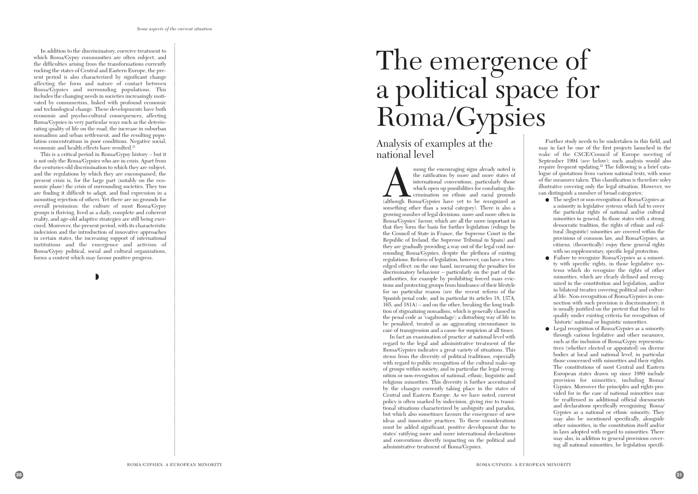Analysis of examples at the national level

mong the encouraging signs already noted is<br>the ratification by more and more states of<br>international conventions, particularly those<br>which open up possibilities for combating dis-<br>crimination on ethnic and racial grounds<br> the ratification by more and more states of international conventions, particularly those which open up possibilities for combating discrimination on ethnic and racial grounds something other than a social category). There is also a growing number of legal decisions, more and more often in Roma/Gypsies' favour, which are all the more important in that they form the basis for further legislation (rulings by the Council of State in France, the Supreme Court in the Republic of Ireland, the Supreme Tribunal in Spain) and they are gradually providing a way out of the legal void surrounding Roma/Gypsies, despite the plethora of existing regulations. Reform of legislation, however, can have a twoedged effect: on the one hand, increasing the penalties for discriminatory behaviour – particularly on the part of the authorities, for example by prohibiting forced mass evictions and protecting groups from hindrance of their lifestyle for no particular reason (see the recent reform of the Spanish penal code, and in particular its articles 18, 137A, 165, and 181A) – and on the other, breaking the long tradition of stigmatizing nomadism, which is generally classed in the penal code as 'vagabondage'; a disturbing way of life to be penalized, treated as an aggravating circumstance in case of transgression and a cause for suspicion at all times.

In fact an examination of practice at national level with regard to the legal and administrative treatment of the Roma/Gypsies indicates a great variety of situations. This stems from the diversity of political traditions, especially with regard to public recognition of the cultural make-up of groups within society, and in particular the legal recognition or non-recogniton of national, ethnic, linguistic and religious minorities. This diversity is further accentuated by the changes currently taking place in the states of Central and Eastern Europe. As we have noted, current policy is often marked by indecision, giving rise to transitional situations characterized by ambiguity and paradox, but which also sometimes favours the emergence of new ideas and innovative practices. To these considerations must be added significant, positive development due to states' ratifying more and more international declarations and conventions directly impacting on the political and administrative treatment of Roma/Gypsies.

In addition to the discriminatory, coercive treatment to which Roma/Gypsy communities are often subject, and the difficulties arising from the transformations currently rocking the states of Central and Eastern Europe, the present period is also characterized by significant change affecting the form and nature of contact between Roma/Gypsies and surrounding populations. This includes the changing needs in societies increasingly motivated by consumerism, linked with profound economic and technological change. These developments have both economic and psycho-cultural consequences, affecting Roma/Gypsies in very particular ways such as the deteriorating quality of life on the road, the increase in suburban nomadism and urban settlement, and the resulting population concentrations in poor conditions. Negative social, economic and health effects have resulted.<sup>21</sup>

Further study needs to be undertaken in this field, and may in fact be one of the first projects launched in the wake of the CSCE/Council of Europe meeting of September 1994 (see below); such analysis would also require frequent updating.22 The following is a brief catalogue of quotations from various national texts, with some of the measures taken. This classification is therefore soley illustrative covering only the legal situation. However, we can distinguish a number of broad categories:

- The neglect or non-recognition of Roma/Gypsies as a minority in legislative systems which fail to cover the particular rights of national and/or cultural minorities in general. In those states with a strong democratic tradition, the rights of ethnic and cultural (linguistic) minorities are covered within the provisions of common law, and Roma/Gypsies, as citizens, (theoretically) enjoy these general rights with no supplementary, specific legal protection.
- Failure to recognize Roma/Gypsies as a minority with specific rights, in those legislative systems which do recognize the rights of other minorities, which are clearly defined and recognized in the constitution and legislation, and/or in bilateral treaties covering political and cultural life. Non-recognition of Roma/Gypsies in connection with such provision is discriminatory; it is usually justified on the pretext that they fail to qualify under existing criteria for recognition of 'historic' national or linguistic minorities.
- Legal recognition of Roma/Gypsies as a minority through various legislative and other measures, such as the inclusion of Roma/Gypsy representatives (whether elected or appointed) on diverse bodies at local and national level, in particular those concerned with minorities and their rights. The constitutions of most Central and Eastern European states drawn up since 1989 include provision for minorities, including Roma/ Gypsies. Moreover the principles and rights provided for in the case of national minorities may be reaffirmed in additional official documents and declarations specifically recognizing Roma/ Gypsies as a national or ethnic minority. They may also be mentioned specifically, alongside other minorities, in the constitution itself and/or in laws adopted with regard to minorities. There may also, in addition to general provisions covering all national minorities, be legislation specifi-

This is a critical period in Roma/Gypsy history – but it is not only the Roma/Gypsies who are in crisis. Apart from the centuries-old discrimination to which they are subject, and the regulations by which they are encompassed, the present crisis is, for the large part (notably on the economic plane) the crisis of surrounding societies. They too are finding it difficult to adapt, and find expression in a mounting rejection of others. Yet there are no grounds for overall pessimism: the culture of most Roma/Gypsy groups is thriving, lived as a daily, complete and coherent reality, and age-old adaptive strategies are still being exercised. Moreover, the present period, with its characteristic indecision and the introduction of innovative approaches in certain states, the increasing support of international institutions and the emergence and activism of Roma/Gypsy political, social and cultural organizations, forms a context which may favour positive progress.

## The emergence of a political space for Roma/Gypsies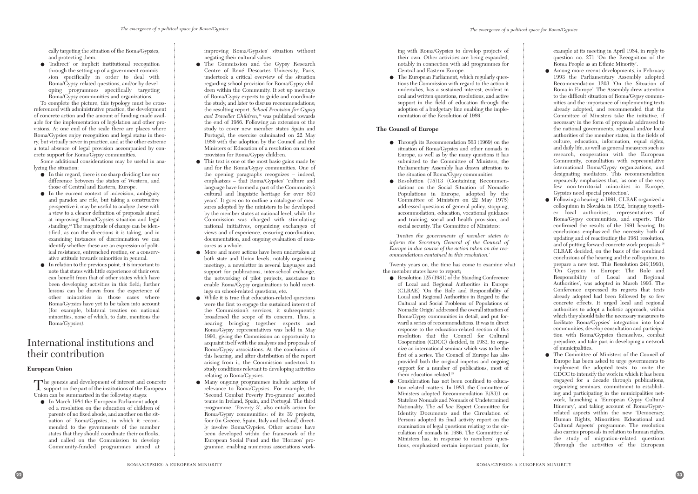ing with Roma/Gypsies to develop projects of their own. Other activities are being expanded, notably in connection with aid programmes for Central and Eastern Europe.

- Through its Recommendation 563 (1969) on the situation of Roma/Gypsies and other nomads in Europe, as well as by the many questions it has submitted to the Committee of Ministers, the Parliamentary Assembly has drawn attention to the situation of Roma/Gypsy communities.
- Resolution (75)13 (Containing Recommendations on the Social Situation of Nomadic Populations in Europe, adopted by the Committee of Ministers on 22 May 1975) addressed questions of general policy, stopping, accommodation, education, vocational guidance and training, social and health provision, and social security. The Committee of Ministers:

● The European Parliament, which regularly questions the Commission with regard to the action it undertakes, has a sustained interest, evident in oral and written questions, resolutions, and active support in the field of education through the adoption of a budgetary line enabling the implementation of the Resolution of 1989.

#### **The Council of Europe**

*'Invites the governments of member states to inform the Secretary General of the Council of Europe in due course of the action taken on the recommendations contained in this resolution.'*

- Resolution 125 (1981) of the Standing Conference of Local and Regional Authorities in Europe (CLRAE) 'On the Role and Responsibility of Local and Regional Authorities in Regard to the Cultural and Social Problems of Populations of Nomadic Origin' addressed the overall situation of Roma/Gypsy communities in detail, and put forward a series of recommendations. It was in direct response to the education-related section of this resolution that the Council for Cultural Cooperation (CDCC) decided, in 1983, to organize an international seminar which was to be the first of a series. The Council of Europe has also provided both the original impetus and ongoing support for a number of publications, most of them education-related.<sup>25</sup>
- Consideration has not been confined to education-related matters. In 1983, the Committee of Ministers adopted Recommendation R(83)1 on Stateless Nomads and Nomads of Undetermined Nationality. The *ad hoc* Expert Committee for Identity Documents and the Circulation of Persons adopted its final activity report on the examination of legal questions relating to the circulation of nomads in 1986. The Committee of Ministers has, in response to members' questions, emphasized certain important points, for

Twenty years on, the time has come to examine what the member states have to report;

- Among more recent developments, in February 1993 the Parliamentary Assembly adopted Recommendation 1203 'On the Situation of Roma in Europe'. The Assembly drew attention to the difficult situation of Roma/Gypsy communities and the importance of implementing texts already adopted, and recommended that the Committee of Ministers take the initiative, if necessary in the form of proposals addressed to the national governments, regional and/or local authorities of the member states, in the fields of culture, education, information, equal rights, and daily life, as well as general measures such as research, cooperation with the European Community, consultation with representative international Roma/Gypsy organizations, and designating mediators. This recommendation repeatedly emphasizes that, 'as one of the very few non-territorial minorities in Europe, Gypsies need special protection'.
- Following a hearing in 1991, CLRAE organized a colloquium in Slovakia in 1992, bringing together local authorities, representatives of Roma/Gypsy communities, and experts. This confirmed the results of the 1991 hearing. Its conclusions emphasized the necessity both of updating and of reactivating the 1981 resolution, and of putting forward concrete work proposals.<sup>26</sup> CLRAE decided, on the basis of the combined conclusions of the hearing and the colloquium, to prepare a new text. This Resolution 249(1993), 'On Gypsies in Europe: The Role and Responsibility of Local and Regional Authorities', was adopted in March 1993. The Conference expressed its regrets that texts already adopted had been followed by so few concrete effects. It urged local and regional authorities to adopt a holistic approach, within which they should take the necessary measures to facilitate Roma/Gypsies' integration into local communities, develop consultation and participation with Roma/Gypsies themselves, combat prejudice, and take part in developing a network of municipalities.
- The Committee of Ministers of the Council of Europe has been asked to urge governments to implement the adopted texts, to invite the CDCC to intensify the work in which it has been engaged for a decade through publications, organizing seminars, commitment to establishing and participating in the municipalities network, launching a 'European Gypsy Cultural Itinerary', and taking account of Roma/Gypsyrelated aspects within the new 'Democracy, Human Rights, Minorities: Educational and Cultural Aspects' programme. The resolution also carries proposals in relation to human rights, the study of migration-related questions (through the activities of the European

example at its meeting in April 1984, in reply to question no. 271 'On the Recognition of the Roma People as an Ethnic Minority'.

The genesis and development of interest and concrete<br>support on the part of the institutions of the European<br>Union are had parametered in the following there Union can be summarized in the following stages:

cally targeting the situation of the Roma/Gypsies, and protecting them.

● 'Indirect' or implicit institutional recognition through the setting up of a government commission specifically in order to deal with Roma/Gypsy-related questions, and/or by developing programmes specifically targeting Roma/Gypsy communities and organizations.

To complete the picture, this typology must be crossreferenced with administrative practice, the development of concrete action and the amount of funding made available for the implementation of legislation and other provisions. At one end of the scale there are places where Roma/Gypsies enjoy recognition and legal status in theory, but virtually never in practice, and at the other extreme a total absence of legal provision accompanied by concrete support for Roma/Gypsy communities.

Some additional considerations may be useful in analyzing the situation:

- In this regard, there is no sharp dividing line nor difference between the states of Western, and those of Central and Eastern, Europe.
- In the current context of indecision, ambiguity and paradox are rife, but taking a constructive perspective it may be useful to analyze these with a view to a clearer definition of proposals aimed at improving Roma/Gypsies situation and legal standing.<sup>23</sup> The magnitude of change can be identified, as can the directions it is taking, and in examining instances of discrimination we can identify whether these are an expression of political resistance, entrenched routine, or a conservative attitude towards minorities in general.
- $\bullet$  In relation to the previous point, it is important to note that states with little experience of their own can benefit from that of other states which have been developing activities in this field; further lessons can be drawn from the experience of other minorities in those cases where Roma/Gypsies have yet to be taken into account (for example, bilateral treaties on national minorities, none of which, to date, mentions the Roma/Gypsies).

## International institutions and their contribution

#### **European Union**

● In March 1984 the European Parliament adopted a resolution on the education of children of parents of no fixed abode, and another on the situation of Roma/Gypsies, in which it recommended to the governments of the member states that they should coordinate their outlooks, and called on the Commission to develop Community-funded programmes aimed at

improving Roma/Gypsies' situation without negating their cultural values.

- The Commission and the Gypsy Research Centre of René Descartes University, Paris, undertook a critical overview of the situation regarding school provision for Roma/Gypsy children within the Community. It set up meetings of Roma/Gypsy experts to guide and coordinate the study, and later to discuss recommendations; the resulting report, *School Provision for Gypsy* and Traveller Children,<sup>24</sup> was published towards the end of 1986. Following an extension of the study to cover new member states Spain and Portugal, the exercise culminated on 22 May 1989 with the adoption by the Council and the Ministers of Education of a resolution on school provision for Roma/Gypsy children.
- This text is one of the most basic gains made by and for the Roma/Gypsy communities. One of the opening paragraphs recognizes – indeed, emphasizes – that Roma/Gypsies' 'culture and language have formed a part of the Community's cultural and linguistic heritage for over 500 years'. It goes on to outline a catalogue of measures adopted by the ministers to be developed by the member states at national level, while the Commission was charged with stimulating national initiatives, organizing exchanges of views and of experience, ensuring coordination, documentation, and ongoing evaluation of measures as a whole.
- More and more actions have been undertaken at both state and Union levels, notably organizing meetings, a newsletter in several languages and support for publications, inter-school exchange, the networking of pilot projects, assistance to enable Roma/Gypsy organizations to hold meetings on school-related questions, etc.
- While it is true that education-related questions were the first to engage the sustained interest of the Commission's services, it subsequently broadened the scope of its concern. Thus, a hearing bringing together experts and Roma/Gypsy representatives was held in May 1991, giving the Commission an opportunity to acquaint itself with the analyses and proposals of Roma/Gypsy associations. At the conclusion of this hearing, and after distribution of the report arising from it, the Commission undertook to study conditions relevant to developing activities relating to Roma/Gypsies.
- Many ongoing programmes include actions of relevance to Roma/Gypsies. For example, the 'Second Combat Poverty Pro-gramme' assisted teams in Ireland, Spain, and Portugal. The third programme, 'Poverty 3', also entails action for Roma/Gypsy communities: of its 39 projects, four (in Greece, Spain, Italy and Ireland) directly involve Roma/Gypsies. Other actions have been developed within the framework of the European Social Fund and the 'Horizon' programme, enabling numerous associations work-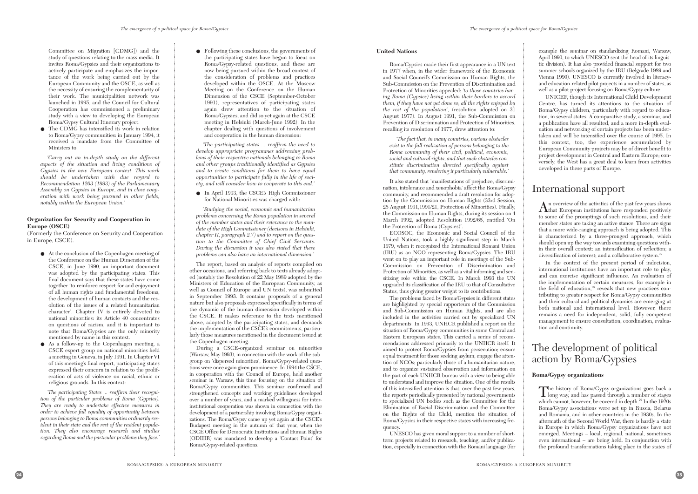#### **United Nations**

Roma/Gypsies made their first appearance in a UN text in 1977 when, in the wider framework of the Economic and Social Council's Commission on Human Rights, the Sub-Commission on the Prevention of Discrimination and Protection of Minorities appealed: *'to those countries having Roma (Gypsies) living within their borders to accord them, if they have not yet done so, all the rights enjoyed by the rest of the population'*, (resolution adopted on 31 August 1977). In August 1991, the Sub-Commission on Prevention of Discrimination and Protection of Minorities, recalling its resolution of 1977, drew attention to:

*'The fact that, in many countries, various obstacles exist to the full realization of persons belonging to the Roma community of their civil, political, economic, social and cultural rights, and that such obstacles constitute discrimination directed specifically against that community, rendering it particularly vulnerable.'*

It also stated that 'manifestations of prejudice, discrimination, intolerance and xenophobia' affect the Roma/Gypsy community, and recommended a draft resolution for adoption by the Commission on Human Rights (33rd Session, 28 August 1991,1991/21, Protection of Minorities). Finally, the Commission on Human Rights, during its session on 4 March 1992, adopted Resolution 1992/65, entitled 'On the Protection of Roma (Gypsies)'.

ECOSOC, the Economic and Social Council of the United Nations, took a highly significant step in March 1979, when it recognized the International Romani Union (IRU) as an NGO representing Roma/Gypsies. The IRU went on to play an important role in meetings of the Sub-Commission on Prevention of Discrimination and Protection of Minorities, as well as a vital informing and sensitizing role within the CSCE. In March 1993 the UN upgraded its classification of the IRU to that of Consultative Status, thus giving greater weight to its contributions.

UNICEF, though its International Child Development Centre, has turned its attentions to the situation of Roma/Gypsy children, particularly with regard to education, in several states. A comparative study, a seminar, and a publication have all resulted, and a more in-depth evaluation and networking of certain projects has been undertaken and will be intensified over the course of 1995. In this context, too, the experience accumulated by European Community projects may be of direct benefit to project development in Central and Eastern Europe; conversely, the West has a great deal to learn from activities developed in these parts of Europe.

The problems faced by Roma/Gypsies in different states are highlighted by special rapporteurs of the Commission and Sub-Commission on Human Rights, and are also included in the activities carried out by specialized UN departments. In 1993, UNHCR published a report on the situation of Roma/Gypsy communities in some Central and Eastern European states. This carried a series of recommendations addressed primarily to the UNHCR itself. It aimed to protect Roma/Gypsies from persecution; ensure equal treatment for those seeking asylum; engage the attention of NGOs; particularly those of a humanitarian nature, and to organize sustained observation and information on the part of each UNHCR bureau with a view to being able to understand and improve the situation. One of the results of this intensified attention is that, over the past few years, the reports periodically presented by national governments to specialized UN bodies such as the Committee for the Elimination of Racial Discrimination and the Committee on the Rights of the Child, mention the situation of Roma/Gypsies in their respective states with increasing frequency.

The history of Roma/Gypsy organizations goes back a<br>long way, and has passed through a number of stages<br>which connect have used in detail  $\frac{29}{2}$  In the 1000 which cannot, however, be covered in depth.<sup>29</sup> In the 1920s Roma/Gypsy associations were set up in Russia, Belarus and Romania, and in other countries in the 1930s. In the aftermath of the Second World War, there is hardly a state in Europe in which Roma/Gypsy organizations have not emerged. Meetings – local, regional, national, sometimes even international – are being held. In conjunction with the profound transformations taking place in the states of

UNESCO has given moral support to a number of shortterm projects related to research, teaching, and/or publication, especially in connection with the Romani language (for

● The CDMG has intensified its work in relation to Roma/Gypsy communities: in January 1994, it received a mandate from the Committee of Ministers to:

example the seminar on standardizing Romani, Warsaw, April 1990, to which UNESCO sent the head of its linguistic division). It has also provided financial support for two summer schools organized by the IRU (Belgrade 1989 and Vienna 1990). UNESCO is currently involved in literacyand education-related pilot projects in a number of states, as well as a pilot project focusing on Roma/Gypsy culture.

- At the conclusion of the Copenhagen meeting of the Conference on the Human Dimension of the CSCE, in June 1990, an important document was adopted by the participating states. This final document says that these states have come together 'to reinforce respect for and enjoyment of all human rights and fundamental freedoms, the development of human contacts and the resolution of the issues of a related humanitarian character'. Chapter IV is entirely devoted to national minorities: its Article 40 concentrates on questions of racism, and it is important to note that Roma/Gypsies are the only minority mentioned by name in this context.
- As a follow-up to the Copenhagen meeting, a CSCE expert group on national minorities held a meeting in Geneva, in July 1991. In Chapter VI of this meeting's final report, participating states expressed their concern in relation to the proliferation of acts of violence on racial, ethnic or religious grounds. In this context:

## International support

An overview of the activities of the past few years shows<br>that European institutions have responded positively<br>that even of the proportions of making and the integration to some of the promptings of such resolutions, and their member states are taking an active stance. There are signs that a more wide-ranging approach is being adopted. This is characterized by a three-pronged approach, which should open up the way towards examining questions within their overall context: an intensification of reflection; a diversification of interest; and a collaborative system.<sup>27</sup>

● Following these conclusions, the governments of the participating states have begun to focus on Roma/Gypsy-related questions, and these are now being pursued within the broad context of the consideration of problems and practices developed within the OSCE. At the Moscow Meeting on the Conference on the Human Dimension of the CSCE (September-October 1991), representatives of participating states again drew attention to the situation of Roma/Gypsies, and did so yet again at the CSCE meeting in Helsinki (March-June 1992). In the chapter dealing with questions of involvement and cooperation in the human dimension:

> In the context of the present period of indecision, international institutions have an important role to play, and can exercise significant influence. An evaluation of the implementation of certain measures, for example in the field of education, $28$  reveals that new practices contributing to greater respect for Roma/Gypsy communities and their cultural and political dynamics are emerging at both national and international level. However, there remains a need for independent, solid, fully competent management to ensure consultation, coordination, evaluation and continuity.

## The development of political action by Roma/Gypsies

### **Roma/Gypsy organizations**

Committee on Migration [CDMG]) and the study of questions relating to the mass media. It invites Roma/Gypsies and their organizations to actively participate and emphasizes the importance of the work being carried out by the European Community and the OSCE, as well as the necessity of ensuring the complementarity of their work. The municipalities network was launched in 1995, and the Council for Cultural Cooperation has commissioned a preliminary study with a view to developing the European Roma/Gypsy Cultural Itinerary project.

*'Carry out an in-depth study on the different aspects of the situation and living conditions of Gypsies in the new European context. This work should be undertaken with due regard to Recommendation 1203 (1993) of the Parliamentary Assembly on Gypsies in Europe, and in close cooperation with work being pursued in other fields, notably within the European Union.'*

#### **Organization for Security and Cooperation in Europe (OSCE)**

(Formerly the Conference on Security and Cooperation in Europe, CSCE).

*'The participating States ... reaffirm their recognition of the particular problems of Roma (Gypsies). They are ready to undertake effective measures in order to achieve full equality of opportunity between persons belonging to Roma communities ordinarily resident in their state and the rest of the resident population. They also encourage research and studies regarding Roma and the particular problems they face.'*

*'The participating states ... reaffirm the need to develop appropriate programmes addressing problems of their respective nationals belonging to Roma and other groups traditionally identified as Gypsies and to create conditions for them to have equal opportunities to participate fully in the life of society, and will consider how to cooperate to this end.'*

● In April 1993, the CSCE's High Commissioner for National Minorities was charged with:

*'Studying the social, economic and humanitarian problems concerning the Roma population in several of the member states and their relevance to the mandate of the High Commissioner (decisons in Helsinki, chapter II, paragraph 2.7) and to report on the question to the Committee of Chief Civil Servants. During the discussion it was also stated that these problems can also have an international dimension.'* 

The report, based on analysis of reports compiled on other occasions, and referring back to texts already adopted (notably the Resolution of 22 May 1989 adopted by the Ministers of Education of the European Community, as well as Council of Europe and UN texts), was submitted in September 1993. It contains proposals of a general nature but also proposals expressed specifically in terms of the dynamic of the human dimension developed within the CSCE. It makes reference to the texts mentioned above, adopted by the participating states, and demands the implementation of the CSCE's commitments, particularly those measures mentioned in the document issued at the Copenhagen meeting.

During a CSCE-organized seminar on minorities (Warsaw, May 1993), in connection with the work of the subgroup on 'dispersed minorities', Roma/Gypsy-related questions were once again given prominence. In 1994 the CSCE, in cooperation with the Council of Europe, held another seminar in Warsaw, this time focusing on the situation of Roma/Gypsy communities. This seminar confirmed and strengthened concepts and working guidelines developed over a number of years, and a marked willingness for interinstitutional cooperation was shown in connection with the development of a partnership involving Roma/Gypsy organizations. The Roma/Gypsy came up yet again at the CSCE's Budapest meeting in the autumn of that year, when the CSCE Office for Democratic Institutions and Human Rights (ODIHR) was mandated to develop a 'Contact Point' for Roma/Gypsy-related questions.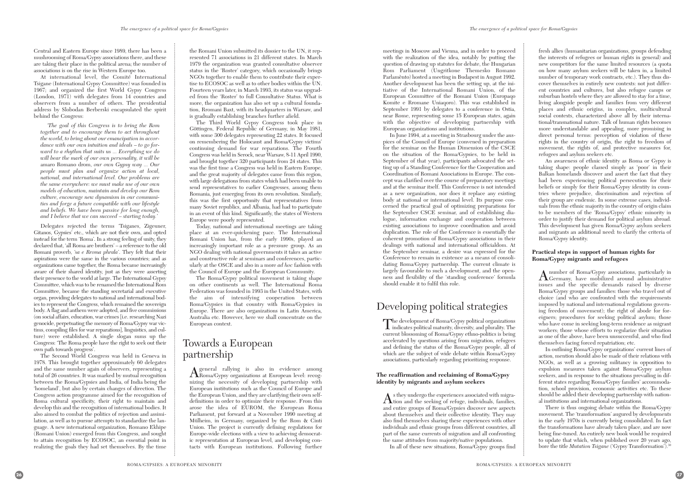meetings in Moscow and Vienna, and in order to proceed with the realization of the idea, notably by putting the question of drawing up statutes for debate, the Hungarian Rom Parliament (Ungritkone Themesko Romano Parlamènto) hosted a meeting in Budapest in August 1992. Another development has been the setting up, at the initiative of the International Romani Union, of the European Committee of the Romani Union (Europaqo Komite e Rromane Uniaqoro). This was established in September 1991 by delegates to a conference in Ostia, near Rome, representing some 15 European states, again with the objective of developing partnership with European organizations and institutions.

The development of Roma/Gypsy political organizations<br>indicates political maturity, diversity, and plurality. The current blossoming of Roma/Gypsy ethno-politics is being accelerated by questions arising from migration, refugees and defining the status of the Roma/Gypsy people, all of which are the subject of wide debate within Roma/Gypsy associations, particularly regarding prioritizing response.

In June 1994, at a meeting in Strasbourg under the auspices of the Council of Europe (convened in preparation for the seminar on the Human Dimension of the CSCE on the situation of the Roma/Gypsies, to be held in September of that year), participants advocated the setting up of a Standing Conference for the Cooperation and Coordination of Romani Associations in Europe. The concept was clarified over the course of preparatory meetings and at the seminar itself. This Conference is not intended as a new organization, nor does it replace any existing body at national or international level. Its purpose concerned the practical goal of optimizing preparations for the September CSCE seminar, and of establishing dialogue, information exchange and cooperation between existing associations to improve coordination and avoid duplication. The role of the Conference is essentially the coherent promotion of Roma/Gypsy associations in their dealings with national and international officialdom. At the September seminar, a desire was expressed for the Conference to remain in existence as a means of consolidating Roma/Gypsy partnership. The current climate is largely favourable to such a development, and the openness and flexibility of the 'standing conference' formula should enable it to fulfil this role.

 $A$ s they undergo the experiences associated with migra-<br>tion and the seeking of refuge, individuals, families, and entire groups of Roma/Gypsies discover new aspects about themselves and their collective identity. They may also find themselves sharing these experiences with other individuals and ethnic groups from different countries, all part of the same currents of migration and all confronting the same attitudes from majority/native populations.

## Developing political strategies

#### **The reaffirmation and reclaiming of Roma/Gypsy identity by migrants and asylum seekers**

A number of Roma/Gypsy associations, particularly in<br>Germany, have mobilized around administrative<br>intervals and the mostlig demands wised by diverge issues and the specific demands raised by diverse Roma/Gypsy groups and families: those who travel out of choice (and who are confronted with the requirements imposed by national and international regulations governing freedom of movement); the right of abode for foreigners; procedures for seeking political asylum; those who have come in seeking long-term residence as migrant workers; those whose efforts to regularize their situation as one of the above, have been unsuccessful, and who find themselves facing forced repatriation; etc.

In all of these new situations, Roma/Gypsy groups find

fresh allies (humanitarian organizations, groups defending the interests of refugees or human rights in general) and new competitors for the same limited resources (a quota on how many asylum seekers will be taken in, a limited number of temporary work contracts, etc.). They thus discover themselves in entirely new contexts: not just different countries and cultures, but also refugee camps or suburban hostels where they are allowed to stay for a time, living alongside people and families from very different places and ethnic origins, in complex, multicultural social contexts, characterized above all by their international/transnational nature. Talk of human rights becomes more understandable and appealing, more promising in direct personal terms: perception of violation of these rights in the country of origin, the right to freedom of movement, the rights of, and protective measures for, refugees and asylum seekers etc.

An awareness of ethnic identity as Roma or Gypsy is taking shape: people classed simply as 'poor' in their Balkan homelands discover and assert the fact that they had been experiencing political persecution for their beliefs or simply for their Roma/Gypsy identity in countries where prejudice, discrimination and rejection of their group are endemic. In some extreme cases, individuals from the ethnic majority in the country of origin claim to be members of the 'Roma/Gypsy' ethnic minority in order to justify their demand for political asylum abroad. This development has given Roma/Gypsy asylum seekers and migrants an additional need: to clarify the criteria of Roma/Gypsy identity.

#### **Practical steps in support of human rights for Roma/Gypsy migrants and refugees**

In outlining Roma/Gypsy organizations' current lines of action, mention should also be made of their relations with NGOs, as well as a growing militancy in opposition to expulsion measures taken against Roma/Gypsy asylum seekers, and in response to the situations prevailing in different states regarding Roma/Gypsy families' accommodation, school provision, economic activities etc. To these should be added their developing partnership with national institutions and international organizations.

There is thus ongoing debate within the Roma/Gypsy movement. The 'transformation' augured by developments in the early 1970s is currently being consolidated. In fact the transformations have already taken place, and are now being fine-tuned. An entirely new book would be required to update that which, when published over 20 years ago, bore the title *Mutation Tsigane* ('Gypsy Transformation').30

Central and Eastern Europe since 1989, there has been a mushrooming of Roma/Gypsy associations there, and these are taking their place in the political arena; the number of associations is on the rise in Western Europe too.

At international level, the Comité International Tsigane (International Gypsy Committee) was founded in 1967; and organized the first World Gypsy Congress (London, 1971) with delegates from 14 countries and observers from a number of others. The presidential address by Slobodan Berberski encapsulated the spirit behind the Congress:

*'The goal of this Congress is to bring the Rom together and to encourage them to act throughout the world, to bring about our emancipation in accordance with our own intuition and ideals – to go forward to a rhythm that suits us ... Everything we do will bear the mark of our own personality, it will be* amaro Romano drom, *our own Gypsy way ... Our people must plan and organize action at local, national, and international level. Our problems are the same everywhere: we must make use of our own models of education, maintain and develop our Rom culture, encourage new dynamism in our communities and forge a future compatible with our lifestyle and beliefs. We have been passive for long enough, and I believe that we can succeed – starting today.'*

Delegates rejected the terms 'Tsiganes, Zigeuner, Gitanos, Gypsies' etc., which are not their own, and opted instead for the term 'Roma'. In a strong feeling of unity, they declared that, 'all Roma are brothers' – a reference to the old Romani proverb, *'sa e Rroma phrala'*. They felt that their aspirations were the same in the various countries; and as organizations came together, the Roma became increasingly aware of their shared identity, just as they were asserting their presence to the world at large. The International Gypsy Committee, which was to be renamed the International Rom Committee, became the standing secretarial and executive organ, providing delegates to national and international bodies to represent the Congress, which remained the sovereign body. A flag and anthem were adopted, and five commissions (on social affairs, education, war crimes [i.e. researching Nazi genocide, perpetuating the memory of Roma/Gypsy war victims, compiling files for war reparations], linguistics, and culture) were established. A single slogan sums up the Congress: 'The Roma people have the right to seek out their own path towards progress'.

The Second World Congress was held in Geneva in 1978. This brought together approximately 60 delegates and the same number again of observers, representing a total of 26 countries. It was marked by mutual recognition between the Roma/Gypsies and India, of India being the 'homeland', but also by certain changes of direction. The Congress action programme aimed for the recognition of Roma cultural specificity, their right to maintain and develop this and the recognition of international bodies. It also aimed to combat the politics of rejection and assimilation, as well as to pursue attempts to standardize the language. A new international organization, Romano Ekhipe (Romani Union) emerged from this Congress, and sought to attain recognition by ECOSOC, an essential point in realizing the goals they had set themselves. By the time

the Romani Union submitted its dossier to the UN, it represented 71 associations in 21 different states. In March 1979 the organization was granted consultative observer status in the 'Roster' category, which occasionally brings NGOs together to enable them to contribute their expertise to ECOSOC as well as to other bodies within the UN. Fourteen years later, in March 1993, its status was upgraded from the 'Roster' to full Consultative Status. What is more, the organization has also set up a cultural foundation, Rromani Baxt, with its headquarters in Warsaw, and is gradually establishing branches further afield.

The Third World Gypsy Congress took place in Göttingen, Federal Republic of Germany, in May 1981, with some 300 delegates representing 22 states. It focused on remembering the Holocaust and Roma/Gypsy victims' continuing demand for war reparations. The Fourth Congress was held in Serock, near Warsaw, 8-11 April 1990, and brought together 320 participants from 24 states. This was the first time a Congress was held in Eastern Europe, and the great majority of delegates came from this region, with large delegations from states which had been unable to send representatives to earlier Congresses, among them Romania, just emerging from its own revolution. Similarly, this was the first opportunity that representatives from many Soviet republics, and Albania, had had to participate in an event of this kind. Significantly, the states of Western Europe were poorly represented.

Today, national and international meetings are taking place at an ever-quickening pace. The International Romani Union has, from the early 1990s, played an increasingly important role as a pressure group. As an NGO dealing with national governments it takes an active and constructive role at seminars and conferences, particularly at the OSCE and also in a more *ad hoc* fashion with the Council of Europe and the European Community.

The Roma/Gypsy political movement is taking shape on other continents as well. The International Roma Federation was founded in 1993 in the United States, with the aim of intensifying cooperation between Roma/Gypsies in that country with Roma/Gypsies in Europe. There are also organizations in Latin America, Australia etc. However, here we shall concentrate on the European context.

## Towards a European partnership

Ageneral rallying is also in evidence among Roma/Gypsy organizations at European level: recognizing the necessity of developing partnership with European institutions such as the Council of Europe and the European Union, and they are clarifying their own selfdefinitions in order to optimize their response. From this arose the idea of EUROM, the European Roma Parliament, put forward at a November 1990 meeting at Mülheim, in Germany, organized by the Rom & Cinti Union. The project is currently defining regulations for Europe-wide elections with a view to achieving democratic representation at European level, and developing contacts with European institutions. Following further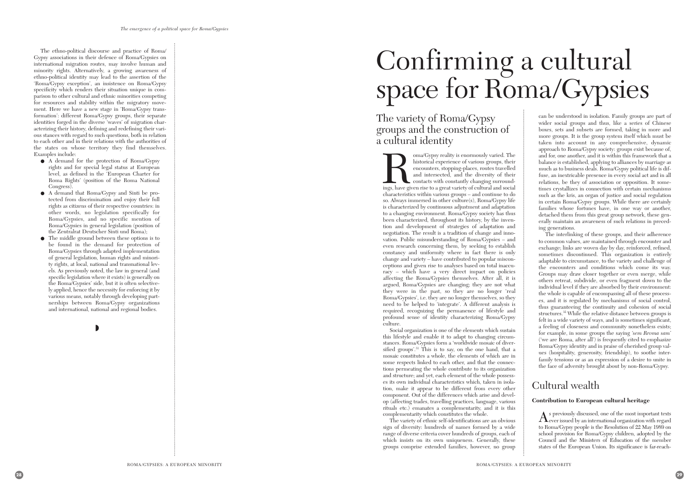The variety of Roma/Gypsy groups and the construction of a cultural identity

oma/Gypsy reality is enormously varied. The<br>historical experience of various groups, their<br>encounters, stopping-places, routes travelled<br>and intersected, and the diversity of their<br>contacts with constantly changing surroun historical experience of various groups, their encounters, stopping-places, routes travelled and intersected, and the diversity of their contacts with constantly changing surroundings, have given rise to a great variety of cultural and social characteristics within various groups – and continue to do so. Always immersed in other culture(s), Roma/Gypsy life is characterized by continuous adjustment and adaptation to a changing environment. Roma/Gypsy society has thus been characterized, throughout its history, by the invention and development of strategies of adaptation and negotiation. The result is a tradition of change and innovation. Public misunderstanding of Roma/Gypsies – and even research concerning them, by seeking to establish constancy and uniformity where in fact there is only change and variety – have contributed to popular misconceptions and given rise to analyses based on total inaccuracy – which have a very direct impact on policies affecting the Roma/Gypsies themselves. After all, it is argued, Roma/Gypsies are changing; they are not what they were in the past, so they are no longer 'real Roma/Gypsies', i.e. they are no longer themselves, so they need to be helped to 'integrate'. A different analysis is required, recognizing the permanence of lifestyle and profound sense of identity characterizing Roma/Gypsy culture.

Social organization is one of the elements which sustain this lifestyle and enable it to adapt to changing circumstances. Roma/Gypsies form a 'worldwide mosaic of diversified groups'.<sup>31</sup> This is to say, on the one hand, that a mosaic constitutes a whole, the elements of which are in some respects linked to each other, and that the connections permeating the whole contribute to its organization and structure; and yet, each element of the whole possesses its own individual characteristics which, taken in isolation, make it appear to be different from every other component. Out of the differences which arise and develop (affecting trades, travelling practices, language, various rituals etc.) emanates a complementarity, and it is this complementarity which constitutes the whole.

The variety of ethnic self-identifications are an obvious sign of diversity: hundreds of names formed by a wide range of diverse criteria cover hundreds of groups, each of which insists on its own uniqueness. Generally, these groups comprise extended families, however, no group

 $A$ s previously discussed, one of the most important texts<br>ever issued by an international organization with regard to Roma/Gypsy people is the Resolution of 22 May 1989 on school provision for Roma/Gypsy children, adopted by the Council and the Ministers of Education of the member states of the European Union. Its significance is far-reach-

can be understood in isolation. Family groups are part of wider social groups and thus, like a series of Chinese boxes, sets and subsets are formed, taking in more and more groups. It is the group system itself which must be taken into account in any comprehensive, dynamic approach to Roma/Gypsy society: groups exist because of, and for, one another, and it is within this framework that a balance is established, applying to alliances by marriage as much as to business deals. Roma/Gypsy political life is diffuse, an inextricable presence in every social act and in all relations, be they of association or opposition. It sometimes crystallizes in connection with certain mechanisms such as the kris, an organ of justice and social regulation in certain Roma/Gypsy groups. While there are certainly families whose fortunes have, in one way or another, detached them from this great group network, these generally maintain an awareness of such relations in preceding generations.

The interlinking of these groups, and their adherence to common values, are maintained through encounter and exchange; links are woven day by day, reinforced, refined, sometimes discontinued. This organization is entirely adaptable to circumstance, to the variety and challenge of the encounters and conditions which come its way. Groups may draw closer together or even merge, while others retreat, subdivide, or even fragment down to the individual level if they are absorbed by their environment: the whole is capable of encompassing all of these processes, and it is regulated by mechanisms of social control, thus guaranteeing the continuity and cohesion of social structures.<sup>32</sup> While the relative distance between groups is felt in a wide variety of ways, and is sometimes significant, a feeling of closeness and community nonetheless exists; for example, in some groups the saying *'sem Rroma sam'* ('we are Roma, after all') is frequently cited to emphasize Roma/Gypsy identity and in praise of cherished group values (hospitality, generosity, friendship), to soothe interfamily tensions or as an expression of a desire to unite in the face of adversity brought about by non-Roma/Gypsy.

## Cultural wealth

#### **Contribution to European cultural heritage**

The ethno-political discourse and practice of Roma/ Gypsy associations in their defence of Roma/Gypsies on international migration routes, may involve human and minority rights. Alternatively, a growing awareness of ethno-political identity may lead to the assertion of the 'Roma/Gypsy exception', an insistence on Roma/Gypsy specificity which renders their situation unique in comparison to other cultural and ethnic minorities competing for resources and stability within the migratory movement. Here we have a new stage in 'Roma/Gypsy transformation': different Roma/Gypsy groups, their separate identities forged in the diverse 'waves' of migration characterizing their history, defining and redefining their various stances with regard to such questions, both in relation to each other and in their relations with the authorities of the states on whose territory they find themselves. Examples include:

- A demand for the protection of Roma/Gypsy rights and for special legal status at European level, as defined in the 'European Charter for Roma Rights' (position of the Roma National Congress).
- A demand that Roma/Gypsy and Sinti be protected from discrimination and enjoy their full rights as citizens of their respective countries: in other words, no legislation specifically for Roma/Gypsies, and no specific mention of Roma/Gypsies in general legislation (position of the Zentralrat Deutscher Sinti und Roma);
- The middle ground between these options is to be found in the demand for protection of Roma/Gypsies through adapted implementation of general legislation, human rights and minority rights, at local, national and transnational levels. As previously noted, the law in general (and specific legislation where it exists) is generally on the Roma/Gypsies' side, but it is often selectively applied, hence the necessity for enforcing it by various means, notably through developing partnerships between Roma/Gypsy organizations and international, national and regional bodies.

◗

# Confirming a cultural space for Roma/Gypsies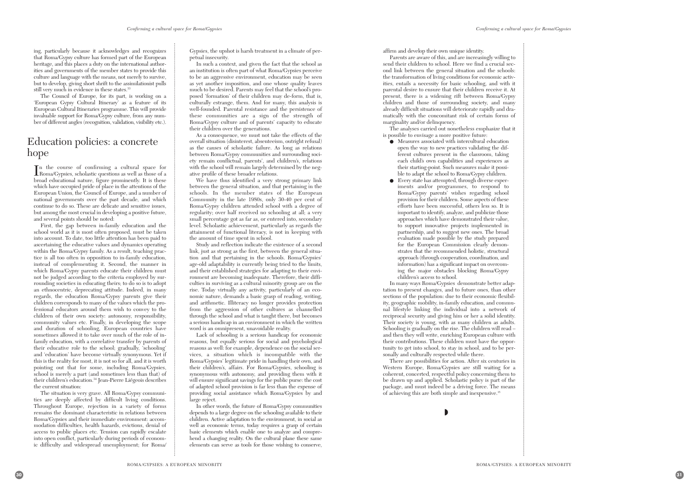#### affirm and develop their own unique identity.

Parents are aware of this, and are increasingly willing to send their children to school. Here we find a crucial second link between the general situation and the schools: the transformation of living conditions for economic activities, entails a necessity for basic schooling, and with it parental desire to ensure that their children receive it. At present, there is a widening rift between Roma/Gypsy children and those of surrounding society, and many already difficult situations will deteriorate rapidly and dramatically with the concomitant risk of certain forms of marginality and/or delinquency.

The analyses carried out nonetheless emphasize that it is possible to envisage a more positive future:

- $\bullet$  Measures associated with intercultural education open the way to new practices validating the different cultures present in the classroom, taking each child's own capabilities and experiences as their starting-point. Such measures make it possible to adapt the school to Roma/Gypsy children.
- Every state has attempted, through diverse experiments and/or programmes, to respond to Roma/Gypsy parents' wishes regarding school provision for their children. Some aspects of these efforts have been successful, others less so. It is important to identify, analyze, and publicize those approaches which have demonstrated their value, to support innovative projects implemented in partnership, and to suggest new ones. The broad evaluation made possible by the study prepared for the European Commission clearly demonstrates that the recommended holistic, structural approach (through cooperation, coordination, and information) has a significant impact on overcoming the major obstacles blocking Roma/Gypsy children's access to school.

There are possibilities for action. After six centuries in Western Europe, Roma/Gypsies are still waiting for a coherent, concerted, respectful policy concerning them to be drawn up and applied. Scholastic policy is part of the package, and must indeed be a driving force. The means of achieving this are both simple and inexpensive.<sup>35</sup>

ing, particularly because it acknowledges and recognizes that Roma/Gypsy culture has formed part of the European heritage, and this places a duty on the international authorities and governments of the member states to provide this culture and language with the means, not merely to survive, but to develop, giving short shrift to the assimilationist pulls still very much in evidence in these states.<sup>33</sup>

In the course of confirming a cultural space for<br>Roma/Gypsies, scholastic questions as well as those of a<br>hand advertised actual structure for a manipulate that there Roma/Gypsies, scholastic questions as well as those of a broad educational nature, figure prominently. It is these which have occupied pride of place in the attentions of the European Union, the Council of Europe, and a number of national governments over the past decade, and which continue to do so. These are delicate and sensitive issues, but among the most crucial in developing a positive future, and several points should be noted:

> In many ways Roma/Gypsies demonstrate better adaptation to present changes, and to future ones, than other sections of the population: due to their economic flexibility, geographic mobility, in-family education, and communal lifestyle linking the individual into a network of reciprocal security and giving him or her a solid identity. Their society is young, with as many children as adults. Schooling is gradually on the rise. The children will read – and then they will write, enriching European culture with their contributions. These children must have the opportunity to get into school, to stay in school, and to be personally and culturally respected while there.

> > ◗

The Council of Europe, for its part, is working on a 'European Gypsy Cultural Itinerary' as a feature of its European Cultural Itineraries programme. This will provide invaluable support for Roma/Gypsy culture, from any number of different angles (recognition, validation, visibility etc.).

## Education policies: a concrete hope

We have thus identified a very strong primary link between the general situation, and that pertaining in the schools. In the member states of the European Community in the late 1980s, only 30-40 per cent of Roma/Gypsy children attended school with a degree of regularity; over half received no schooling at all; a very small percentage got as far as, or entered into, secondary level. Scholastic achievement, particularly as regards the attainment of functional literacy, is not in keeping with the amount of time spent in school.

First, the gap between in-family education and the school world as it is most often proposed, must be taken into account. To date, too little attention has been paid to ascertaining the educative values and dynamics operating within the Roma/Gypsy family. As a result, teaching practice is all too often in opposition to in-family education, instead of complementing it. Second, the manner in which Roma/Gypsy parents educate their children must not be judged according to the criteria employed by surrounding societies in educating theirs; to do so is to adopt an ethnocentric, deprecating attitude. Indeed, in many regards, the education Roma/Gypsy parents give their children corresponds to many of the values which the professional educators around them wish to convey to the children of their own society: autonomy, responsibility, community values etc. Finally, in developing the scope and duration of schooling, European countries have sometimes allowed it to take over much of the role of infamily education, with a correlative transfer by parents of their educative role to the school; gradually, 'schooling' and 'education' have become virtually synonymous. Yet if this is the reality for most, it is not so for all, and it is worth pointing out that for some, including Roma/Gypsies, school is merely a part (and sometimes less than that) of their children's education.34 Jean-Pierre Liégeois describes the current situation:

The situation is very grave. All Roma/Gypsy communities are deeply affected by difficult living conditions. Throughout Europe, rejection in a variety of forms remains the dominant characteristic in relations between Roma/Gypsies and their immediate environment: accommodation difficulties, health hazards, evictions, denial of access to public places etc. Tension can rapidly escalate into open conflict, particularly during periods of economic difficulty and widespread unemployment; for Roma/ Gypsies, the upshot is harsh treatment in a climate of perpetual insecurity.

In such a context, and given the fact that the school as an institution is often part of what Roma/Gypsies perceive to be an aggressive environment, education may be seen as yet another imposition, and one whose quality leaves much to be desired. Parents may feel that the school's proposed 'formation' of their children may de-form, that is, culturally estrange, them. And for many, this analysis is well-founded. Parental resistance and the persistence of these communities are a sign of the strength of Roma/Gypsy culture and of parents' capacity to educate their children over the generations.

As a consequence, we must not take the effects of the overall situation (disinterest, absenteeism, outright refusal) as the causes of scholastic failure. As long as relations between Roma/Gypsy communities and surrounding society remain conflictual, parents', and children's, relations with the school will remain largely determined by the negative profile of these broader relations.

Study and reflection indicate the existence of a second link, just as strong as the first, between the general situation and that pertaining in the schools. Roma/Gypsies' age-old adaptability is currently being tried to the limits, and their established strategies for adapting to their environment are becoming inadequate. Therefore, their difficulties in surviving as a cultural minority group are on the rise. Today virtually any activity, particularly of an economic nature, demands a basic grasp of reading, writing, and arithmetic. Illiteracy no longer provides protection from the aggression of other cultures as channelled through the school and what is taught there, but becomes a serious handicap in an environment in which the written word is an omnipresent, unavoidable reality.

Lack of schooling is a serious handicap for economic reasons, but equally serious for social and psychological reasons as well: for example, dependence on the social services, a situation which is incompatible with the Roma/Gypsies' legitimate pride in handling their own, and their children's, affairs. For Roma/Gypsies, schooling is synonymous with autonomy, and providing them with it will ensure significant savings for the public purse: the cost of adapted school provision is far less than the expense of providing social assistance which Roma/Gypsies by and large reject.

In other words, the future of Roma/Gypsy communities depends to a large degree on the schooling available to their children. Active adaptation to the environment, in social as well as economic terms, today requires a grasp of certain basic elements which enable one to analyze and comprehend a changing reality. On the cultural plane these same elements can serve as tools for those wishing to conserve,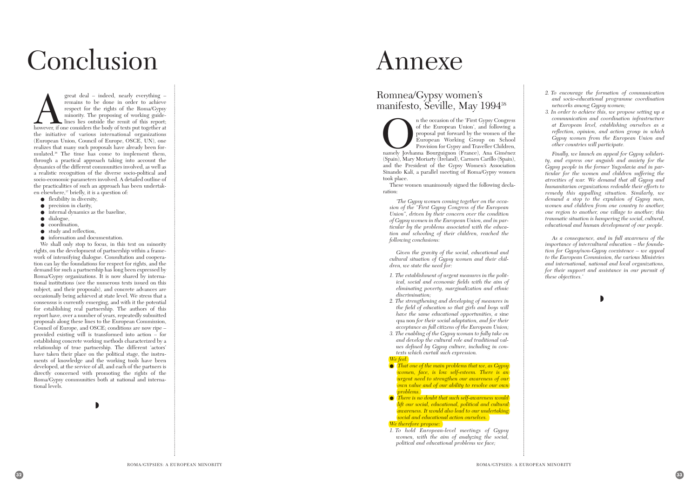n the occasion of the 'First Gypsy Congress<br>
of the European Union', and following a<br>
proposal put forward by the women of the<br>
European Working Group on School<br>
Provision for Gypsy and Traveller Children,<br>
namely Jovhanna of the European Union', and following a proposal put forward by the women of the European Working Group on School Provision for Gypsy and Traveller Children, (Spain), Mary Moriarty (Ireland), Carmen Carillo (Spain), and the President of the Gypsy Women's Association Sinando Kalí, a parallel meeting of Roma/Gypsy women took place.

These women unanimously signed the following declaration:

*'The Gypsy women coming together on the occasion of the "First Gypsy Congress of the European Union", driven by their concern over the condition of Gypsy women in the European Union, and in particular by the problems associated with the education and schooling of their children, reached the following conclusions:*

*Given the gravity of the social, educational and cultural situation of Gypsy women and their children, we state the need for:*

- *1. The establishment of urgent measures in the political, social and economic fields with the aim of eliminating poverty, marginalization and ethnic discrimination;*
- *2. The strengthening and developing of measures in the field of education so that girls and boys will have the same educational opportunities, a* sine qua non *for their social adaptation, and for their acceptance as full citizens of the European Union;*
- *3. The enabling of the Gypsy woman to fully take on and develop the cultural role and traditional values defined by Gypsy culture, including in contexts which curtail such expression.*

#### *We feel:*

- *That one of the main problems that we, as Gypsy women, face, is low self-esteem. There is an urgent need to strengthen our awareness of our own value and of our ability to resolve our own problems.*
- *There is no doubt that such self-awareness would lift our social, educational, political and cultural awareness. It would also lead to our undertaking social and educational action ourselves.*

### *We therefore propose:*

*1. To hold European-level meetings of Gypsy women, with the aim of analyzing the social, political and educational problems we face;*

- flexibility in diversity,
- precision in clarity,
- internal dynamics as the baseline,
- dialogue,
- coordination,
- study and reflection,
- information and documentation.
- *2. To encourage the formation of communication and socio-educational programme coordination networks among Gypsy women;*
- *3. In order to achieve this, we propose setting up a communication and coordination infrastructure at European level, establishing ourselves as a reflection, opinion, and action group in which Gypsy women from the European Union and other countries will participate.*

*Finally, we launch an appeal for Gypsy solidarity, and express our anguish and anxiety for the Gypsy people in the former Yugoslavia and in particular for the women and children suffering the atrocities of war. We demand that all Gypsy and humanitarian organizations redouble their efforts to remedy this appalling situation. Similarly, we demand a stop to the expulsion of Gypsy men, women and children from one country to another, one region to another, one village to another; this traumatic situation is hampering the social, cultural, educational and human development of our people.*

*As a consequence, and in full awareness of the importance of intercultural education – the foundation for Gypsy/non-Gypsy coexistence – we appeal to the European Commission, the various Ministries and international, national and local organizations, for their support and assistance in our pursuit of these objectives.'*

◗

**33**

We shall only stop to focus, in this text on minority rights, on the development of partnership within a framework of intensifying dialogue. Consultation and cooperation can lay the foundations for respect for rights, and the demand for such a partnership has long been expressed by Roma/Gypsy organizations. It is now shared by international institutions (see the numerous texts issued on this subject, and their proposals), and concrete advances are occasionally being achieved at state level. We stress that a consensus is currently emerging, and with it the potential for establishing real partnership. The authors of this report have, over a number of years, repeatedly submitted proposals along these lines to the European Commission, Council of Europe, and OSCE; conditions are now ripe – provided existing will is transformed into action – for establishing concrete working methods characterized by a relationship of true partnership. The different 'actors' have taken their place on the political stage, the instruments of knowledge and the working tools have been developed, at the service of all, and each of the partners is directly concerned with promoting the rights of the Roma/Gypsy communities both at national and international levels.

◗

## Romnea/Gypsy women's manifesto, Seville, May 1994<sup>38</sup>

# Conclusion Annexe

great deal – indeed, nearly everything –<br>
remains to be done in order to achieve<br>
respect for the rights of the Roma/Gypsy<br>
minority. The proposing of working guide-<br>
lines lies outside the remit of this report;<br>
however, remains to be done in order to achieve respect for the rights of the Roma/Gypsy minority. The proposing of working guidelines lies outside the remit of this report; the initiative of various international organizations (European Union, Council of Europe, OSCE, UN), one realizes that many such proposals have already been formulated.<sup>36</sup> The time has come to implement them, through a practical approach taking into account the dynamics of the different communities involved, as well as a realistic recognition of the diverse socio-political and socio-economic parameters involved. A detailed outline of the practicalities of such an approach has been undertaken elsewhere,<sup>37</sup> briefly, it is a question of: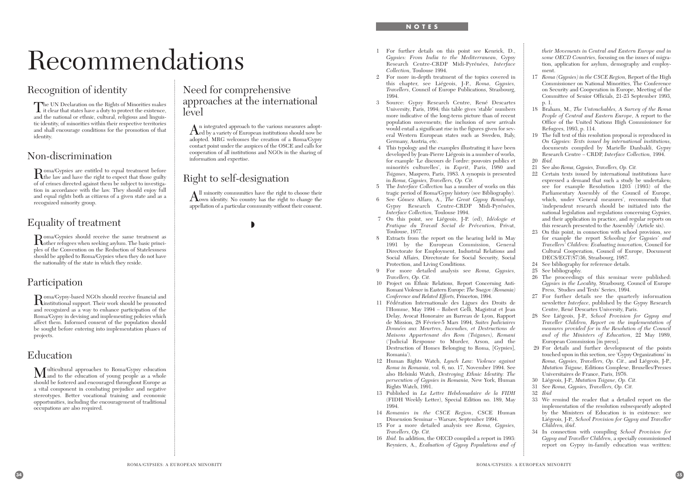- 1 For further details on this point see Kenrick, D., *Gypsies: From India to the Mediterranean*, Gypsy Research Centre-CRDP Midi-Pyrénées, *Interface Collection,* Toulouse 1994.
- 2 For more in-depth treatment of the topics covered in this chapter, see Liégeois, J-P., *Roma, Gypsies, Travellers*, Council of Europe Publications, Strasbourg, 1994.
- 3 Source: Gypsy Research Centre, René Descartes University, Paris, 1994; this table gives 'stable' numbers more indicative of the long-term picture than of recent population movements; the inclusion of new arrivals would entail a significant rise in the figures given for several Western European states such as Sweden, Italy, Germany, Austria, etc.
- 4 This typology and the examples illustrating it have been developed by Jean-Pierre Liégeois in a number of works, for example 'Le discours de l'ordre: pouvoirs publics et minorités culturelles', in *Esprit*, Paris, 1980 and *Tsiganes*, Maspero, Paris, 1983. A synopsis is presented in *Roma, Gypsies, Travellers, Op. Cit.*
- 5 The *Interface Collection* has a number of works on this tragic period of Roma/Gypsy history (see Bibliography).
- 6 See Gómez Alfaro, A., *The Great Gypsy Round-up,* Gypsy Research Centre-CRDP Midi-Pyrénées, *Interface Collection,* Toulouse 1994.
- 7 On this point, see Liégeois, J-P. (ed), *Idéologie et Pratique du Travail Social de Prévention,* Privat, Toulouse, 1977.
- 8 Extracts from the report on the hearing held in May 1991 by the European Commission, General Directorate for Employment, Industrial Relations and Social Affairs, Directorate for Social Security, Social Protection, and Living Conditions.
- 9 For more detailed analysis see *Roma, Gypsies, Travellers, Op. Cit.*
- 10 Project on Ethnic Relations, Report Concerning Anti-Romani Violence in Eastern Europe: *The Snagov (Romania) Conference and Related Efforts,* Princeton, 1994.
- 11 Fédération Internationale des Ligues des Droits de l'Homme, May 1994 – Robert Gelli, Magistrat et Jean Delay, Avocat Honoraire au Barreau de Lyon, Rapport de Mission, 28 Février-5 Mars 1994, *Suites Judiciaires Données aux Meurtres, Incendies, et Destructions de Maisons Appartenant des Rom (Tsiganes), Romani* ('Judicial Response to Murder, Arson, and the Destruction of Homes Belonging to Roma, [Gypsies], Romania').
- 12 Human Rights Watch, *Lynch Law: Violence against Roma in Romania*, vol. 6, no. 17, November 1994. See also Helsinki Watch, *Destroying Ethnic Identity: The persecution of Gypsies in Romania,* New York, Human Rights Watch, 1991.
- 13 Published in *La Lettre Hebdomadaire de la FIDH* (FIDH Weekly Letter), Special Edition no. 189, May 1994.
- 14 *Romanies in the CSCE Region*, CSCE Human Dimension Seminar – Warsaw, September 1994.
- 15 For a more detailed analysis see *Roma, Gypsies, Travellers, Op. Cit.*
- 16 *Ibid.* In addition, the OECD compiled a report in 1993: Reyniers, A., *Evaluation of Gypsy Populations and of*

*their Movements in Central and Eastern Europe and in some OECD Countries*, focusing on the issues of migration, application for asylum, demography and employment.

The UN Declaration on the Rights of Minorities makes<br>it clear that states have a duty to protect the existence,<br>and the patiencl on their pultural unliming and limits and the national or ethnic, cultural, religious and linguistic identity, of minorities within their respective territories and shall encourage conditions for the promotion of that identity.

 $\sum_{\text{the law and have the right to expect that those guilty of a function.}$ of of crimes directed against them be subject to investigation in accordance with the law. They should enjoy full and equal rights both as citizens of a given state and as a recognized minority group.

**Roma/Gypsies should receive the same treatment as**<br> **Other refugees when seeking asylum. The basic princi**ples of the Convention on the Reduction of Statelessness should be applied to Roma/Gypsies when they do not have the nationality of the state in which they reside.

**Multicultural approaches to Roma/Gypsy education**<br>and to the education of young people as a whole<br>character for the fortunation of the second person of the second person of should be fostered and encouraged throughout Europe as a vital component in combating prejudice and negative stereotypes. Better vocational training and economic opportunities, including the encouragement of traditional occupations are also required.

 $\hat{A}$ n integrated approach to the various measures adopt-<br>ed by a variety of European institutions should now be adopted. MRG welcomes the creation of a Roma/Gypsy contact point under the auspices of the OSCE and calls for cooperation of all institutions and NGOs in the sharing of information and expertise.

 $A<sup>II</sup>$  minority communities have the right to choose their source identity. No country has the right to change the synchronic state of a particular expression in the integration appellation of a particular community without their consent.

- 17 *Roma (Gypsies) in the CSCE Region,* Report of the High Commissioner on National Minorities, The Conference on Security and Cooperation in Europe, Meeting of the Committee of Senior Officials, 21-23 September 1993, p. 1.
- 18 Braham, M., *The Untouchables, A Survey of the Roma People of Central and Eastern Europe*, A report to the Office of the United Nations High Commissioner for Refugees, 1993, p. 114.
- 19 The full text of this resolution proposal is reproduced in *On Gypsies: Texts issued by international institutions,* documents compiled by Marielle Danbakli, Gypsy Research Centre – CRDP, *Interface Collection,* 1994.
- 20 *Ibid.*
- 21 See also *Roma, Gypsies, Travellers, Op. Cit.*
- 22 Certain texts issued by international institutions have expressed a demand that such a study be undertaken; see for example Resolution 1203 (1993) of the Parliamentary Assembly of the Council of Europe, which, under 'General measures', recommends that 'independent research should be initiated into the national legislation and regulations concerning Gypsies, and their application in practice, and regular reports on this research presented to the Assembly' (Article xix).
- 23 On this point, in connection with school provision, see for example the report *Schooling for Gypsies' and Travellers' Children: Evaluating innovation,* Council for Cultural Cooperation, Council of Europe, Document DECS/EGT(87)36, Strasbourg, 1987.
- 24 See bibliography for reference details.
- 25 See bibliography.
- 26 The proceedings of this seminar were published: *Gypsies in the Locality,* Strasbourg, Council of Europe Press, 'Studies and Texts' Series, 1994.
- 27 For further details see the quarterly information newsletter *Interface*, published by the Gypsy Research Centre, René Descartes University, Paris.
- 28 See Liégeois, J-P., *School Provision for Gypsy and Traveller Children, Report on the implementation of measures provided for in the Resolution of the Council and of the Ministers of Education*, 22 May 1989, European Commission [in press].
- 29 For details and further development of the points touched upon in this section, see 'Gypsy Organizations' in *Roma, Gypsies, Travellers, Op. Cit.*, and Liégeois, J-P., *Mutation Tsigane,* Editions Complexe, Bruxelles/Presses Universitaires de France, Paris, 1976.
- 30 Liégeois, J-P., *Mutation Tsigane, Op. Cit.*
- 31 See *Roma, Gypsies, Travellers, Op. Cit.*
- 32 *Ibid*
- 33 We remind the reader that a detailed report on the implementation of the resolution subsequently adopted by the Ministers of Education is in existence: see Liégeois, J-P., *School Provision for Gypsy and Traveller Children, ibid*.
- 34 In connection with compiling *School Provision for Gypsy and Traveller Children*, a specially commissioned report on Gypsy in-family education was written:

## Recognition of identity

## Non-discrimination

## Equality of treatment

## Participation

Roma/Gypsy-based NGOs should receive financial and institutional support. Their work should be promoted and recognized as a way to enhance participation of the Roma/Gypsy in devising and implementing policies which affect them. Informed consent of the population should be sought before entering into implementation phases of projects.

## Education

## Need for comprehensive approaches at the international level

## Right to self-designation

◗

# Recommendations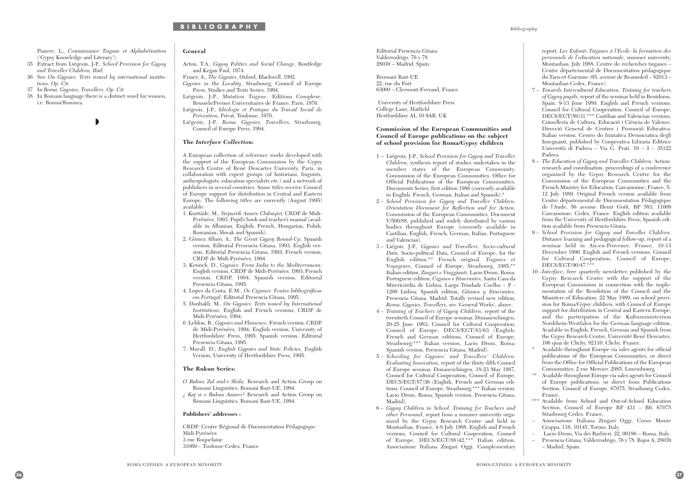Editorial Presencia Gitana Valderrodrigo, 76 y 78 28039 – Madrid, Spain

Rromani Baxt-UE 22, rue du Port 63000 – Clermont-Ferrand, France

University of Hertfordshire Press College Lane, Hatfield Hertfordshire AL 10 9AB, UK

#### **Commission of the European Communities and Council of Europe publications on the subject of school provision for Roma/Gypsy children**

- 1 Liégeois, J-P., *School Provision for Gypsy and Traveller Children*, synthesis report of studies undertaken in the member states of the European Community, Commission of the European Communities, Office for Official Publications of the European Communities, Documents Series, first edition 1986 (currently available in English, French, German, Italian and Spanish).\*
- 2 *School Provision for Gypsy and Traveller Children, Orientation Document for Reflection and for Action*, Commission of the European Communities, Document V/500/88, published and widely distributed by various bodies throughout Europe (currently available in Castilian, English, French, German, Italian, Portuguese and Valencian).
- 3 Liégois, J-P., *Gypsies and Travellers, Socio-cultural Data,* Socio-political Data, Council of Europe, for the English edition.\*\* French original, *Tsiganes et Voyageurs*, Council of Europe, Strasbourg, 1985;\*\* Italian edition, *Zingari e Viaggianti*, Lacio Drom, Roma; Portuguese edition, *Ciganos e Itinerantes*, Santa Casa da Misericórdia de Lisboa, Largo Trindade Coelho – P - 1200 Lisboa; Spanish edition, *Gitanos y Itinerantes*, Presencia Gitana, Madrid. Totally revised new edition, *Roma, Gypsies, Travellers*, see 'General Works', above.
- 4 *Training of Teachers of Gypsy Children*, report of the twentieth Council of Europe seminar, Donaueschingen, 20-25 June 1983, Council for Cultural Cooperation, Council of Europe, DECS/EGT(83)63 (English, French and German editions, Council of Europe, Strasbourg;\*\*\* Italian version, Lacio Drom, Roma; Spanish version, Presencia Gitana, Madrid).
- 5 *Schooling for Gypsies' and Travellers' Children: Evaluating Innovation*, report of the thirty-fifth Council of Europe seminar, Donaueschingen, 18-23 May 1987, Council for Cultural Cooperation, Council of Europe, DECS/EGT(87)36 (English, French and German editions, Council of Europe, Strasbourg;\*\*\* Italian version, Lacio Drom, Roma; Spanish version, Presencia Gitana, Madrid).
- 6 *Gypsy Children in School: Training for Teachers and other Personnel*, report from a summer university organized by the Gypsy Research Centre and held in Montauban, France, 4-8 July 1988. English and French versions, Council for Cultural Cooperation, Council of Europe, DECS/EGT(88)42.\*\*\* Italian edition, Associazione Italiana Zingari Oggi. Complementary

report, *Les Enfants Tsiganes á l'Ecole: la formation des personnels de l'education nationale*, summer university, Montauban, July 1988. Centre de recherches tsiganes – Centre départemental de Documentation pédagogique du Tarn-et-Garonne (65, avenue de Beausoleil – 82013 – Montauban Cedex, France).

- 7 *Towards Intercultural Education: Training for teachers of Gypsy pupils*, report of the seminar held in Benidorm, Spain, 9-13 June 1989. English and French versions, Council for Cultural Cooperation, Council of Europe, DECS/EGT(89)31.\*\*\* Castilian and Valencian versions, Consellería de Cultura, Educació i Ciència de Valence, Direcció General de Centres i Promoció Educativa. Italian version, Centro do Iniziativa Democratica degli Insegnanti, published by Cooperativa Libraria Editrice Università di Padova – Via G. Prati, 19 – I – 35122 Padova.
- 8 *The Education of Gypsy and Traveller Children:* Actionresearch and coordination, proceedings of a conference organized by the Gypsy Research Centre for the Commission of the European Communities and the French Ministry for Education, Carcassonne, France, 5- 12 July 1989. Original French version available from Centre départemental de Documentation Pédagogique de l'Aude, 56 avenue Henri Goût, BP 583, 11009 Carcassonne, Cedex, France. English edition available from the University of Hertfordshire Press; Spanish edition available from Presencia Gitana.
- 9 *School Provision for Gypsy and Traveller Children:* Distance learning and pedagogical follow-up, report of a seminar held in Aix-en-Provence, France, 10-13 December 1990. English and French versions, Council for Cultural Cooperation, Council of Europe, DECS/EGT(90)47.\*\*\*\*
- 10 –*Interface*, free quarterly newsletter published by the Gypsy Research Centre with the support of the European Commission in connection with the implementation of the Resolution of the Council and the Ministers of Education, 22 May 1989, on school provision for Roma/Gypsy children, with Council of Europe support for distribution in Central and Eastern Europe, and the participation of the Kultusministerium Nordrhein-Westfalen for the German-language edition. Available in English, French, German and Spanish from the Gypsy Research Centre, Université René Descartes, 106 quai de Clichy, 92110, Clichy, France.
- Available throughout Europe via sales agents for official publications of the European Communities, or direct from the Office for Official Publications of the European Communities, 2 rue Mercier, 2985, Luxembourg.
- \*\* Available throughout Europe via sales agents for Council of Europe publications, or direct from Publications Section, Council of Europe, 67075, Strasbourg Cedex, France.
- \*\*\* Available from School and Out-of-School Education Section, Council of Europe BP 431 – R6, 67075 Strasbourg Cedex, France.
- Associazione Italiana Zingari Oggi, Corso Monte Grappa, 116, 10145, Torino, Italy.
- Lacio Drom, Via dei Barbieri, 22, 00186 Roma, Italy.
- Presencia Gitana, Valderrodrigo, 76 y 78, Bajos A, 28039 – Madrid, Spain.

*Bibliography*

Piasere, L., *Connaissance Tsigane et Alphabétisation* ('Gypsy Knowledge and Literacy').

- 35 Extract from Liégeois, J-P., *School Provision for Gypsy and Traveller Children, Ibid*.
- 36 See *On Gypsies: Texts issued by international institutions, Op. Cit.*
- 37 In *Roma, Gypsies, Travellers, Op. Cit.*
- 38 In Romani language there is a distinct word for women, i.e. Romni/Romnea.

◗

#### **General**

- Acton, T.A., *Gypsy Politics and Social Change*, Routledge and Kegan Paul, 1974.
- Fraser, A., *The Gypsies*, Oxford, Blackwell, 1992.
- *Gypsies in the Locality*, Strasbourg, Council of Europe Press, Studies and Texts Series, 1994.
- Liégeois, J-P., *Mutation Tsigane*, Editions Complexe, Brussels/Presses Universitaires de France, Paris, 1976.
- Liégeois, J-P., *Idéologie et Pratique du Travail Social de Prévention*, Privat, Toulouse, 1976.
- Liégeois, J-P., *Roma, Gypsies, Travellers*, Strasbourg, Council of Europe Press, 1994.

#### **The** *Interface Collection:*

A European collection of reference works developed with the support of the European Commission by the Gypsy Research Centre of René Descartes University, Paris, in collaboration with expert groups (of historians, linguists, anthropologists, education specialists etc.) and a network of publishers in several countries. Some titles receive Council of Europe support for distribution in Central and Eastern Europe. The following titles are currently (August 1995) available:

- 1. Kurtiàde, M., *Sirpustik Amare Chibaqiri,* CRDP de Midi-Pyrénées, 1993. Pupil's book and teacher's manual (available in Albanian, English, French, Hungarian, Polish, Romanian, Slovak and Spanish).
- 2. Gómez Alfaro, A., *The Great Gypsy Round-Up*, Spanish version, Editorial Presencia Gitana, 1993; English version, Editorial Presencia Gitana, 1993; French version, CRDP de Midi-Pyrénées, 1994.
- 3. Kenrick, D., *Gypsies: From India to the Mediterranean:* English version, CRDP de Midi-Pyrénées, 1993; French version, CRDP, 1994; Spanish version, Editorial Presencia Gitana, 1995.
- 4. Lopes da Costa, E.M., *Os Ciganos: Fontes bibliográficas em Portugal*, Editorial Presencia Gitana, 1995.
- 5. Danbakli, M., *On Gypsies: Texts issued by International Institutions*, English and French versions, CRDP de Midi-Pyrénées, 1994.
- 6. Leblon, B., *Gypsies and Flamenco*, French version, CRDP de Midi-Pyrénées, 1994; English version, University of Hertfordshire Press, 1995; Spanish version, Editorial Presencia Gitana, 1995.
- 7. Mayall, D., *English Gypsies and State Policies,* English Version, University of Hertfordshire Press, 1995.

#### **The Rukun Series:**

- *O Rukun Zal and-i Skòla,* Research and Action Group on Romani Linguistics, Romani Baxt-UE, 1994.
- *¿ Kaj si o Rukun Amaro?* Research and Action Group on Romani Linguistics, Romani Baxt-UE, 1994.

#### **Publishers' addresses :**

CRDP: Centre Régional de Documentation Pédagogique Midi-Pyrénées 3 rue Roquelaine 31069 – Toulouse Cedex, France

**BIBLIOGRAPHY**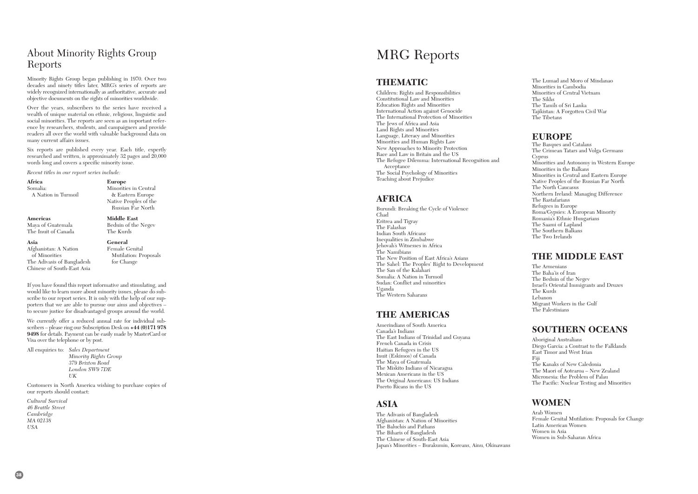## About Minority Rights Group Reports

Minority Rights Group began publishing in 1970. Over two decades and ninety titles later, MRG's series of reports are widely recognized internationally as authoritative, accurate and objective documents on the rights of minorities worldwide.

Over the years, subscribers to the series have received a wealth of unique material on ethnic, religious, linguistic and social minorities. The reports are seen as an important reference by researchers, students, and campaigners and provide readers all over the world with valuable background data on many current affairs issues.

> Minorities in Central<br>& Eastern Europe Native Peoples of the Russian Far North

**Americas Middle East**<br>Maya of Guatemala **Beduin** of the Beduin of the Negev $\,$  The Kurds  $\,$ 

### **Asia General**<br>Afghanistan: A Nation **Female Genital** Afghanistan: A Nation<br>of Minorities The Adivasis of Bangladesh for Change Chinese of South-East Asia

Six reports are published every year. Each title, expertly researched and written, is approximately 32 pages and 20,000 words long and covers a specific minority issue.

*Recent titles in our report series include:*

## **Africa Europe**<br> **Somalia**<br> **Minoritie**

A Nation in Turmoil

The Inuit of Canada

If you have found this report informative and stimulating, and would like to learn more about minority issues, please do subscribe to our report series. It is only with the help of our supporters that we are able to pursue our aims and objectives – to secure justice for disadvantaged groups around the world.

We currently offer a reduced annual rate for individual subscribers – please ring our Subscription Desk on **+44 (0)171 978 9498** for details. Payment can be easily made by MasterCard or Visa over the telephone or by post.

All enquiries to: *Sales Department Minority Rights Group 379 Brixton Road London SW9 7DE UK*

Customers in North America wishing to purchase copies of our reports should contact:

*Cultural Survival 46 Brattle Street Cambridge MA 02138 USA*

Mutilation: Proposals

**38**

### **THEMATIC**

Children: Rights and Responsibilities Constitutional Law and Minorities Education Rights and Minorities International Action against Genocide The International Protection of Minorities The Jews of Africa and Asia Land Rights and Minorities Language, Literacy and Minorities Minorities and Human Rights Law New Approaches to Minority Protection Race and Law in Britain and the US The Refugee Dilemma: International Recognition and Acceptance The Social Psychology of Minorities Teaching about Prejudice

### **AFRICA**

Burundi: Breaking the Cycle of Violence Chad Eritrea and Tigray The Falashas Indian South Africans Inequalities in Zimbabwe Jehovah's Witnesses in Africa The Namibians The New Position of East Africa's Asians The Sahel: The Peoples' Right to Development The San of the Kalahari Somalia: A Nation in Turmoil Sudan: Conflict and minorities Uganda The Western Saharans

### **THE AMERICAS**

Amerindians of South America Canada's Indians The East Indians of Trinidad and Guyana French Canada in Crisis Haitian Refugees in the US Inuit (Eskimos) of Canada The Maya of Guatemala The Miskito Indians of Nicaragua Mexican Americans in the US The Original Americans: US Indians Puerto Ricans in the US

## **ASIA**

The Adivasis of Bangladesh Afghanistan: A Nation of Minorities The Baluchis and Pathans The Biharis of Bangladesh The Chinese of South-East Asia Japan's Minorities – Burakumin, Koreans, Ainu, Okinawans

The Lumad and Moro of Mindanao Minorities in Cambodia Minorities of Central Vietnam The Sikhs The Tamils of Sri Lanka Tajikistan: A Forgotten Civil War The Tibetans

### **EUROPE**

The Basques and Catalans The Crimean Tatars and Volga Germans Cyprus Minorities and Autonomy in Western Europe Minorities in the Balkans Minorities in Central and Eastern Europe Native Peoples of the Russian Far North The North Caucasus Northern Ireland: Managing Difference The Rastafarians Refugees in Europe Roma/Gypsies: A European Minority Romania's Ethnic Hungarians The Saami of Lapland The Southern Balkans The Two Irelands

## **THE MIDDLE EAST**

The Armenians The Baha'is of Iran The Beduin of the Negev Israel's Oriental Immigrants and Druzes The Kurds Lebanon Migrant Workers in the Gulf The Palestinians

## **SOUTHERN OCEANS**

Aboriginal Australians Diego Garcia: a Contrast to the Falklands East Timor and West Irian Fiji The Kanaks of New Caledonia The Maori of Aotearoa – New Zealand Micronesia: the Problem of Palau The Pacific: Nuclear Testing and Minorities

## **WOMEN**

Arab Women Female Genital Mutilation: Proposals for Change Latin American Women Women in Asia Women in Sub-Saharan Africa

MRG Reports